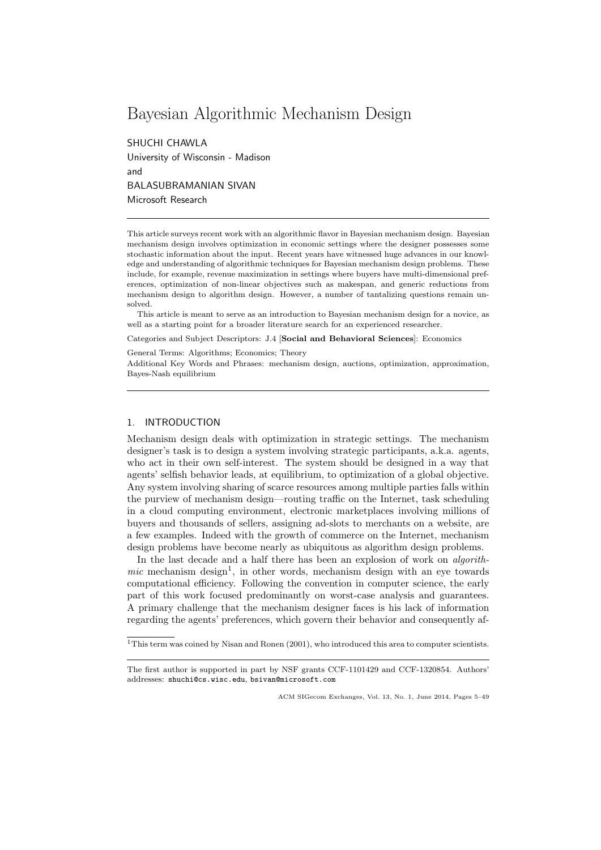# Bayesian Algorithmic Mechanism Design

SHUCHI CHAWLA University of Wisconsin - Madison and BALASUBRAMANIAN SIVAN Microsoft Research

This article surveys recent work with an algorithmic flavor in Bayesian mechanism design. Bayesian mechanism design involves optimization in economic settings where the designer possesses some stochastic information about the input. Recent years have witnessed huge advances in our knowledge and understanding of algorithmic techniques for Bayesian mechanism design problems. These include, for example, revenue maximization in settings where buyers have multi-dimensional preferences, optimization of non-linear objectives such as makespan, and generic reductions from mechanism design to algorithm design. However, a number of tantalizing questions remain unsolved.

This article is meant to serve as an introduction to Bayesian mechanism design for a novice, as well as a starting point for a broader literature search for an experienced researcher.

Categories and Subject Descriptors: J.4 [Social and Behavioral Sciences]: Economics

General Terms: Algorithms; Economics; Theory

Additional Key Words and Phrases: mechanism design, auctions, optimization, approximation, Bayes-Nash equilibrium

#### 1. INTRODUCTION

Mechanism design deals with optimization in strategic settings. The mechanism designer's task is to design a system involving strategic participants, a.k.a. agents, who act in their own self-interest. The system should be designed in a way that agents' selfish behavior leads, at equilibrium, to optimization of a global objective. Any system involving sharing of scarce resources among multiple parties falls within the purview of mechanism design—routing traffic on the Internet, task scheduling in a cloud computing environment, electronic marketplaces involving millions of buyers and thousands of sellers, assigning ad-slots to merchants on a website, are a few examples. Indeed with the growth of commerce on the Internet, mechanism design problems have become nearly as ubiquitous as algorithm design problems.

In the last decade and a half there has been an explosion of work on algorithmic mechanism design<sup>1</sup>, in other words, mechanism design with an eye towards computational efficiency. Following the convention in computer science, the early part of this work focused predominantly on worst-case analysis and guarantees. A primary challenge that the mechanism designer faces is his lack of information regarding the agents' preferences, which govern their behavior and consequently af-

<sup>&</sup>lt;sup>1</sup>This term was coined by Nisan and Ronen (2001), who introduced this area to computer scientists.

The first author is supported in part by NSF grants CCF-1101429 and CCF-1320854. Authors' addresses: shuchi@cs.wisc.edu, bsivan@microsoft.com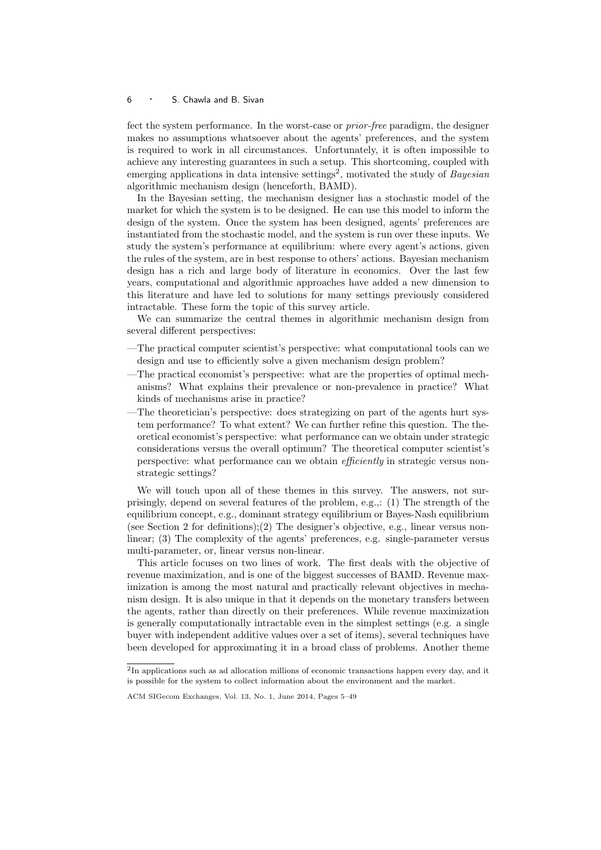fect the system performance. In the worst-case or prior-free paradigm, the designer makes no assumptions whatsoever about the agents' preferences, and the system is required to work in all circumstances. Unfortunately, it is often impossible to achieve any interesting guarantees in such a setup. This shortcoming, coupled with emerging applications in data intensive settings<sup>2</sup>, motivated the study of *Bayesian* algorithmic mechanism design (henceforth, BAMD).

In the Bayesian setting, the mechanism designer has a stochastic model of the market for which the system is to be designed. He can use this model to inform the design of the system. Once the system has been designed, agents' preferences are instantiated from the stochastic model, and the system is run over these inputs. We study the system's performance at equilibrium: where every agent's actions, given the rules of the system, are in best response to others' actions. Bayesian mechanism design has a rich and large body of literature in economics. Over the last few years, computational and algorithmic approaches have added a new dimension to this literature and have led to solutions for many settings previously considered intractable. These form the topic of this survey article.

We can summarize the central themes in algorithmic mechanism design from several different perspectives:

- —The practical computer scientist's perspective: what computational tools can we design and use to efficiently solve a given mechanism design problem?
- —The practical economist's perspective: what are the properties of optimal mechanisms? What explains their prevalence or non-prevalence in practice? What kinds of mechanisms arise in practice?
- —The theoretician's perspective: does strategizing on part of the agents hurt system performance? To what extent? We can further refine this question. The theoretical economist's perspective: what performance can we obtain under strategic considerations versus the overall optimum? The theoretical computer scientist's perspective: what performance can we obtain efficiently in strategic versus nonstrategic settings?

We will touch upon all of these themes in this survey. The answers, not surprisingly, depend on several features of the problem, e.g.,: (1) The strength of the equilibrium concept, e.g., dominant strategy equilibrium or Bayes-Nash equilibrium (see Section 2 for definitions);(2) The designer's objective, e.g., linear versus nonlinear; (3) The complexity of the agents' preferences, e.g. single-parameter versus multi-parameter, or, linear versus non-linear.

This article focuses on two lines of work. The first deals with the objective of revenue maximization, and is one of the biggest successes of BAMD. Revenue maximization is among the most natural and practically relevant objectives in mechanism design. It is also unique in that it depends on the monetary transfers between the agents, rather than directly on their preferences. While revenue maximization is generally computationally intractable even in the simplest settings (e.g. a single buyer with independent additive values over a set of items), several techniques have been developed for approximating it in a broad class of problems. Another theme

<sup>&</sup>lt;sup>2</sup>In applications such as ad allocation millions of economic transactions happen every day, and it is possible for the system to collect information about the environment and the market.

ACM SIGecom Exchanges, Vol. 13, No. 1, June 2014, Pages 5–49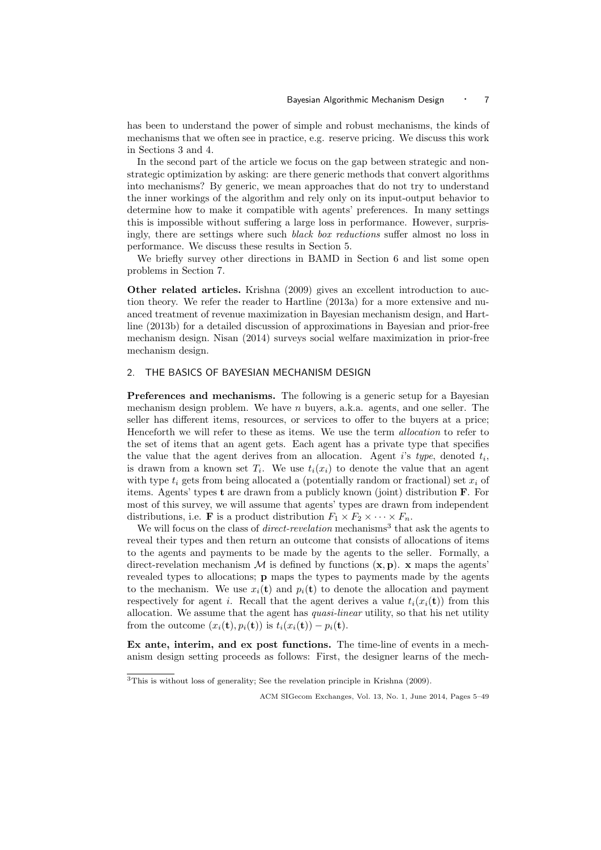has been to understand the power of simple and robust mechanisms, the kinds of mechanisms that we often see in practice, e.g. reserve pricing. We discuss this work in Sections 3 and 4.

In the second part of the article we focus on the gap between strategic and nonstrategic optimization by asking: are there generic methods that convert algorithms into mechanisms? By generic, we mean approaches that do not try to understand the inner workings of the algorithm and rely only on its input-output behavior to determine how to make it compatible with agents' preferences. In many settings this is impossible without suffering a large loss in performance. However, surprisingly, there are settings where such black box reductions suffer almost no loss in performance. We discuss these results in Section 5.

We briefly survey other directions in BAMD in Section 6 and list some open problems in Section 7.

Other related articles. Krishna (2009) gives an excellent introduction to auction theory. We refer the reader to Hartline (2013a) for a more extensive and nuanced treatment of revenue maximization in Bayesian mechanism design, and Hartline (2013b) for a detailed discussion of approximations in Bayesian and prior-free mechanism design. Nisan (2014) surveys social welfare maximization in prior-free mechanism design.

# 2. THE BASICS OF BAYESIAN MECHANISM DESIGN

Preferences and mechanisms. The following is a generic setup for a Bayesian mechanism design problem. We have  $n$  buyers, a.k.a. agents, and one seller. The seller has different items, resources, or services to offer to the buyers at a price; Henceforth we will refer to these as items. We use the term allocation to refer to the set of items that an agent gets. Each agent has a private type that specifies the value that the agent derives from an allocation. Agent i's type, denoted  $t_i$ , is drawn from a known set  $T_i$ . We use  $t_i(x_i)$  to denote the value that an agent with type  $t_i$  gets from being allocated a (potentially random or fractional) set  $x_i$  of items. Agents' types t are drawn from a publicly known (joint) distribution F. For most of this survey, we will assume that agents' types are drawn from independent distributions, i.e. **F** is a product distribution  $F_1 \times F_2 \times \cdots \times F_n$ .

We will focus on the class of *direct-revelation* mechanisms<sup>3</sup> that ask the agents to reveal their types and then return an outcome that consists of allocations of items to the agents and payments to be made by the agents to the seller. Formally, a direct-revelation mechanism  $\mathcal M$  is defined by functions  $(x, p)$ . x maps the agents' revealed types to allocations; p maps the types to payments made by the agents to the mechanism. We use  $x_i(t)$  and  $p_i(t)$  to denote the allocation and payment respectively for agent i. Recall that the agent derives a value  $t_i(x_i(t))$  from this allocation. We assume that the agent has quasi-linear utility, so that his net utility from the outcome  $(x_i(\mathbf{t}), p_i(\mathbf{t}))$  is  $t_i(x_i(\mathbf{t})) - p_i(\mathbf{t})$ .

Ex ante, interim, and ex post functions. The time-line of events in a mechanism design setting proceeds as follows: First, the designer learns of the mech-

<sup>3</sup>This is without loss of generality; See the revelation principle in Krishna (2009).

ACM SIGecom Exchanges, Vol. 13, No. 1, June 2014, Pages 5–49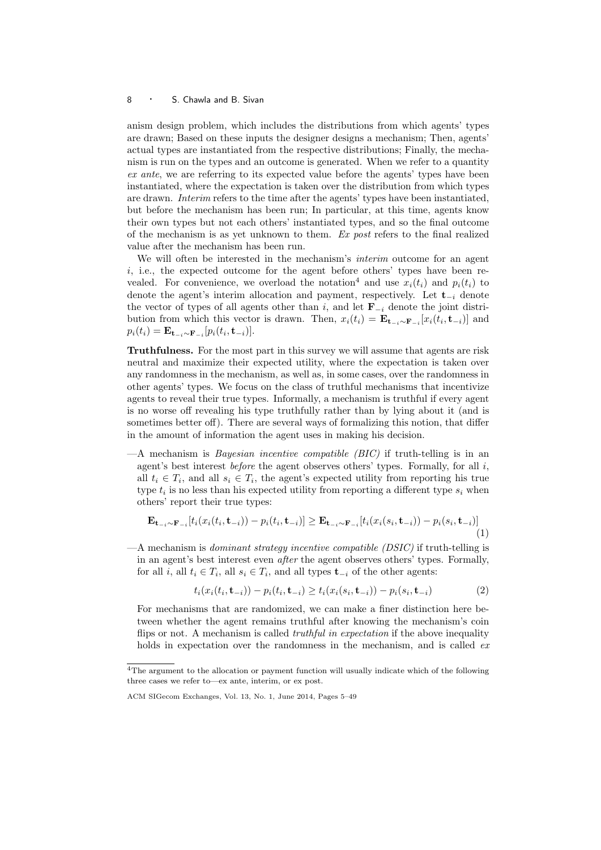anism design problem, which includes the distributions from which agents' types are drawn; Based on these inputs the designer designs a mechanism; Then, agents' actual types are instantiated from the respective distributions; Finally, the mechanism is run on the types and an outcome is generated. When we refer to a quantity ex ante, we are referring to its expected value before the agents' types have been instantiated, where the expectation is taken over the distribution from which types are drawn. Interim refers to the time after the agents' types have been instantiated, but before the mechanism has been run; In particular, at this time, agents know their own types but not each others' instantiated types, and so the final outcome of the mechanism is as yet unknown to them. Ex post refers to the final realized value after the mechanism has been run.

We will often be interested in the mechanism's *interim* outcome for an agent  $i$ , i.e., the expected outcome for the agent before others' types have been revealed. For convenience, we overload the notation<sup>4</sup> and use  $x_i(t_i)$  and  $p_i(t_i)$  to denote the agent's interim allocation and payment, respectively. Let  $t_{-i}$  denote the vector of types of all agents other than i, and let  $\mathbf{F}_{-i}$  denote the joint distribution from which this vector is drawn. Then,  $x_i(t_i) = \mathbf{E}_{\mathbf{t}_{-i} \sim \mathbf{F}_{-i}}[x_i(t_i, \mathbf{t}_{-i})]$  and  $p_i(t_i) = \mathbf{E}_{\mathbf{t}_{-i} \sim \mathbf{F}_{-i}}[p_i(t_i, \mathbf{t}_{-i})].$ 

Truthfulness. For the most part in this survey we will assume that agents are risk neutral and maximize their expected utility, where the expectation is taken over any randomness in the mechanism, as well as, in some cases, over the randomness in other agents' types. We focus on the class of truthful mechanisms that incentivize agents to reveal their true types. Informally, a mechanism is truthful if every agent is no worse off revealing his type truthfully rather than by lying about it (and is sometimes better off). There are several ways of formalizing this notion, that differ in the amount of information the agent uses in making his decision.

 $-A$  mechanism is *Bayesian incentive compatible (BIC)* if truth-telling is in an agent's best interest *before* the agent observes others' types. Formally, for all  $i$ , all  $t_i \in T_i$ , and all  $s_i \in T_i$ , the agent's expected utility from reporting his true type  $t_i$  is no less than his expected utility from reporting a different type  $s_i$  when others' report their true types:

$$
\mathbf{E}_{\mathbf{t}_{-i}\sim\mathbf{F}_{-i}}[t_i(x_i(t_i,\mathbf{t}_{-i})) - p_i(t_i,\mathbf{t}_{-i})] \geq \mathbf{E}_{\mathbf{t}_{-i}\sim\mathbf{F}_{-i}}[t_i(x_i(s_i,\mathbf{t}_{-i})) - p_i(s_i,\mathbf{t}_{-i})]
$$
\n(1)

 $-A$  mechanism is *dominant strategy incentive compatible (DSIC)* if truth-telling is in an agent's best interest even after the agent observes others' types. Formally, for all  $i$ , all  $t_i \in T_i$ , all  $s_i \in T_i$ , and all types  $\mathbf{t}_{-i}$  of the other agents:

$$
t_i(x_i(t_i, \mathbf{t}_{-i})) - p_i(t_i, \mathbf{t}_{-i}) \ge t_i(x_i(s_i, \mathbf{t}_{-i})) - p_i(s_i, \mathbf{t}_{-i})
$$
\n(2)

For mechanisms that are randomized, we can make a finer distinction here between whether the agent remains truthful after knowing the mechanism's coin flips or not. A mechanism is called *truthful in expectation* if the above inequality holds in expectation over the randomness in the mechanism, and is called ex-

<sup>&</sup>lt;sup>4</sup>The argument to the allocation or payment function will usually indicate which of the following three cases we refer to—ex ante, interim, or ex post.

ACM SIGecom Exchanges, Vol. 13, No. 1, June 2014, Pages 5–49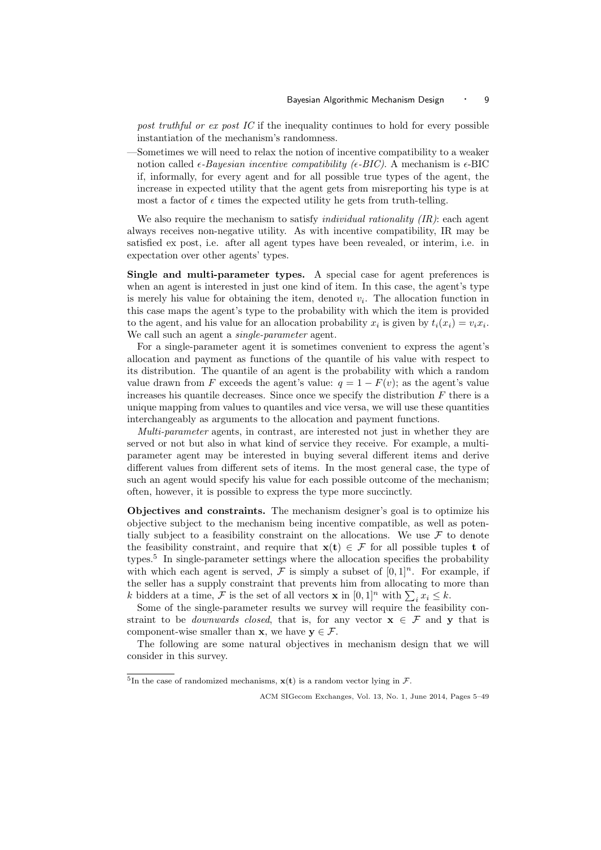post truthful or ex post IC if the inequality continues to hold for every possible instantiation of the mechanism's randomness.

—Sometimes we will need to relax the notion of incentive compatibility to a weaker notion called  $\epsilon$ -Bayesian incentive compatibility ( $\epsilon$ -BIC). A mechanism is  $\epsilon$ -BIC if, informally, for every agent and for all possible true types of the agent, the increase in expected utility that the agent gets from misreporting his type is at most a factor of  $\epsilon$  times the expected utility he gets from truth-telling.

We also require the mechanism to satisfy *individual rationality (IR)*: each agent always receives non-negative utility. As with incentive compatibility, IR may be satisfied ex post, i.e. after all agent types have been revealed, or interim, i.e. in expectation over other agents' types.

Single and multi-parameter types. A special case for agent preferences is when an agent is interested in just one kind of item. In this case, the agent's type is merely his value for obtaining the item, denoted  $v_i$ . The allocation function in this case maps the agent's type to the probability with which the item is provided to the agent, and his value for an allocation probability  $x_i$  is given by  $t_i(x_i) = v_i x_i$ . We call such an agent a *single-parameter* agent.

For a single-parameter agent it is sometimes convenient to express the agent's allocation and payment as functions of the quantile of his value with respect to its distribution. The quantile of an agent is the probability with which a random value drawn from F exceeds the agent's value:  $q = 1 - F(v)$ ; as the agent's value increases his quantile decreases. Since once we specify the distribution  $F$  there is a unique mapping from values to quantiles and vice versa, we will use these quantities interchangeably as arguments to the allocation and payment functions.

Multi-parameter agents, in contrast, are interested not just in whether they are served or not but also in what kind of service they receive. For example, a multiparameter agent may be interested in buying several different items and derive different values from different sets of items. In the most general case, the type of such an agent would specify his value for each possible outcome of the mechanism; often, however, it is possible to express the type more succinctly.

Objectives and constraints. The mechanism designer's goal is to optimize his objective subject to the mechanism being incentive compatible, as well as potentially subject to a feasibility constraint on the allocations. We use  $\mathcal F$  to denote the feasibility constraint, and require that  $x(t) \in \mathcal{F}$  for all possible tuples t of types.<sup>5</sup> In single-parameter settings where the allocation specifies the probability with which each agent is served, F is simply a subset of  $[0, 1]^n$ . For example, if the seller has a supply constraint that prevents him from allocating to more than k bidders at a time, F is the set of all vectors **x** in  $[0,1]^n$  with  $\sum_i x_i \leq k$ .

Some of the single-parameter results we survey will require the feasibility constraint to be *downwards closed*, that is, for any vector  $x \in \mathcal{F}$  and y that is component-wise smaller than **x**, we have  $\mathbf{v} \in \mathcal{F}$ .

The following are some natural objectives in mechanism design that we will consider in this survey.

<sup>&</sup>lt;sup>5</sup>In the case of randomized mechanisms,  $\mathbf{x}(t)$  is a random vector lying in F.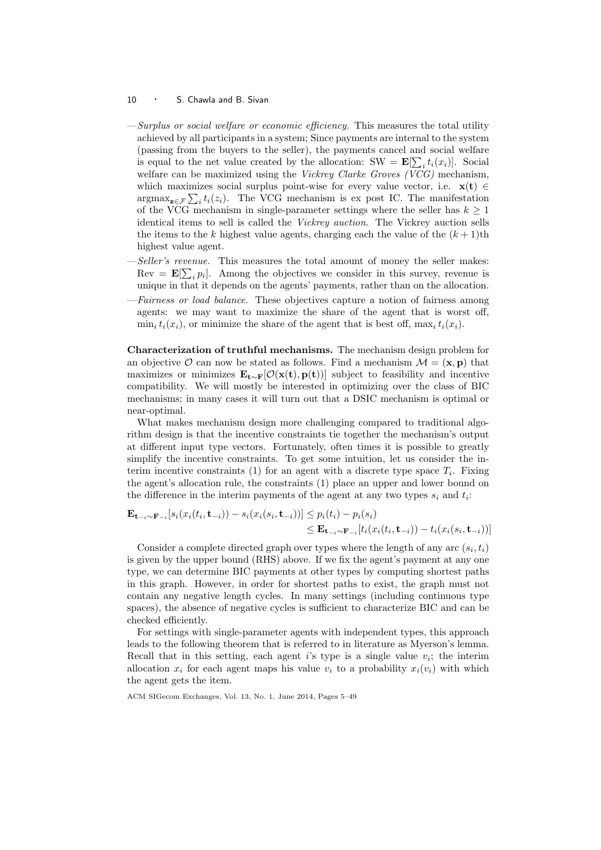- —Surplus or social welfare or economic efficiency. This measures the total utility achieved by all participants in a system; Since payments are internal to the system (passing from the buyers to the seller), the payments cancel and social welfare is equal to the net value created by the allocation:  $SW = \mathbf{E}[\sum_i t_i(x_i)]$ . Social welfare can be maximized using the Vickrey Clarke Groves (VCG) mechanism, which maximizes social surplus point-wise for every value vector, i.e.  $x(t) \in$  $\argmax_{\mathbf{z}\in\mathcal{F}}\sum_{i}t_i(z_i)$ . The VCG mechanism is ex post IC. The manifestation of the VCG mechanism in single-parameter settings where the seller has  $k \geq 1$ identical items to sell is called the Vickrey auction. The Vickrey auction sells the items to the k highest value agents, charging each the value of the  $(k+1)$ th highest value agent.
- -Seller's revenue. This measures the total amount of money the seller makes: Rev =  $\mathbf{E}[\sum_i p_i]$ . Among the objectives we consider in this survey, revenue is unique in that it depends on the agents' payments, rather than on the allocation.
- —Fairness or load balance. These objectives capture a notion of fairness among agents: we may want to maximize the share of the agent that is worst off,  $\min_i t_i(x_i)$ , or minimize the share of the agent that is best off,  $\max_i t_i(x_i)$ .

Characterization of truthful mechanisms. The mechanism design problem for an objective O can now be stated as follows. Find a mechanism  $\mathcal{M} = (\mathbf{x}, \mathbf{p})$  that maximizes or minimizes  $\mathbf{E}_{\mathbf{t} \sim \mathbf{F}}[\mathcal{O}(\mathbf{x}(\mathbf{t}), \mathbf{p}(\mathbf{t}))]$  subject to feasibility and incentive compatibility. We will mostly be interested in optimizing over the class of BIC mechanisms; in many cases it will turn out that a DSIC mechanism is optimal or near-optimal.

What makes mechanism design more challenging compared to traditional algorithm design is that the incentive constraints tie together the mechanism's output at different input type vectors. Fortunately, often times it is possible to greatly simplify the incentive constraints. To get some intuition, let us consider the interim incentive constraints (1) for an agent with a discrete type space  $T_i$ . Fixing the agent's allocation rule, the constraints (1) place an upper and lower bound on the difference in the interim payments of the agent at any two types  $s_i$  and  $t_i$ :

$$
\mathbf{E}_{\mathbf{t}_{-i} \sim \mathbf{F}_{-i}}[s_i(x_i(t_i, \mathbf{t}_{-i})) - s_i(x_i(s_i, \mathbf{t}_{-i}))] \le p_i(t_i) - p_i(s_i)
$$
  
\n
$$
\le \mathbf{E}_{\mathbf{t}_{-i} \sim \mathbf{F}_{-i}}[t_i(x_i(t_i, \mathbf{t}_{-i})) - t_i(x_i(s_i, \mathbf{t}_{-i}))]
$$

Consider a complete directed graph over types where the length of any arc  $(s_i, t_i)$ is given by the upper bound (RHS) above. If we fix the agent's payment at any one type, we can determine BIC payments at other types by computing shortest paths in this graph. However, in order for shortest paths to exist, the graph must not contain any negative length cycles. In many settings (including continuous type spaces), the absence of negative cycles is sufficient to characterize BIC and can be checked efficiently.

For settings with single-parameter agents with independent types, this approach leads to the following theorem that is referred to in literature as Myerson's lemma. Recall that in this setting, each agent i's type is a single value  $v_i$ ; the interim allocation  $x_i$  for each agent maps his value  $v_i$  to a probability  $x_i(v_i)$  with which the agent gets the item.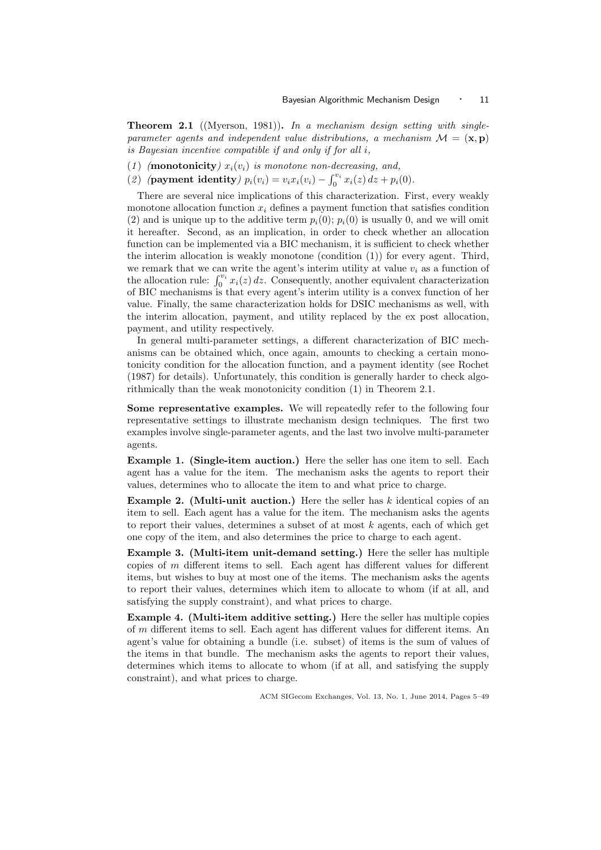Theorem 2.1 ((Myerson, 1981)). In a mechanism design setting with singleparameter agents and independent value distributions, a mechanism  $\mathcal{M} = (\mathbf{x}, \mathbf{p})$ is Bayesian incentive compatible if and only if for all i,

- (1) (**monotonicity**)  $x_i(v_i)$  is monotone non-decreasing, and,
- (2) (payment identity)  $p_i(v_i) = v_i x_i(v_i) \int_0^{v_i} x_i(z) dz + p_i(0)$ .

There are several nice implications of this characterization. First, every weakly monotone allocation function  $x_i$  defines a payment function that satisfies condition (2) and is unique up to the additive term  $p_i(0)$ ;  $p_i(0)$  is usually 0, and we will omit it hereafter. Second, as an implication, in order to check whether an allocation function can be implemented via a BIC mechanism, it is sufficient to check whether the interim allocation is weakly monotone (condition (1)) for every agent. Third, we remark that we can write the agent's interim utility at value  $v_i$  as a function of the allocation rule:  $\int_0^{v_i} x_i(z) dz$ . Consequently, another equivalent characterization of BIC mechanisms is that every agent's interim utility is a convex function of her value. Finally, the same characterization holds for DSIC mechanisms as well, with the interim allocation, payment, and utility replaced by the ex post allocation, payment, and utility respectively.

In general multi-parameter settings, a different characterization of BIC mechanisms can be obtained which, once again, amounts to checking a certain monotonicity condition for the allocation function, and a payment identity (see Rochet (1987) for details). Unfortunately, this condition is generally harder to check algorithmically than the weak monotonicity condition (1) in Theorem 2.1.

Some representative examples. We will repeatedly refer to the following four representative settings to illustrate mechanism design techniques. The first two examples involve single-parameter agents, and the last two involve multi-parameter agents.

Example 1. (Single-item auction.) Here the seller has one item to sell. Each agent has a value for the item. The mechanism asks the agents to report their values, determines who to allocate the item to and what price to charge.

Example 2. (Multi-unit auction.) Here the seller has  $k$  identical copies of an item to sell. Each agent has a value for the item. The mechanism asks the agents to report their values, determines a subset of at most k agents, each of which get one copy of the item, and also determines the price to charge to each agent.

Example 3. (Multi-item unit-demand setting.) Here the seller has multiple copies of  $m$  different items to sell. Each agent has different values for different items, but wishes to buy at most one of the items. The mechanism asks the agents to report their values, determines which item to allocate to whom (if at all, and satisfying the supply constraint), and what prices to charge.

Example 4. (Multi-item additive setting.) Here the seller has multiple copies of m different items to sell. Each agent has different values for different items. An agent's value for obtaining a bundle (i.e. subset) of items is the sum of values of the items in that bundle. The mechanism asks the agents to report their values, determines which items to allocate to whom (if at all, and satisfying the supply constraint), and what prices to charge.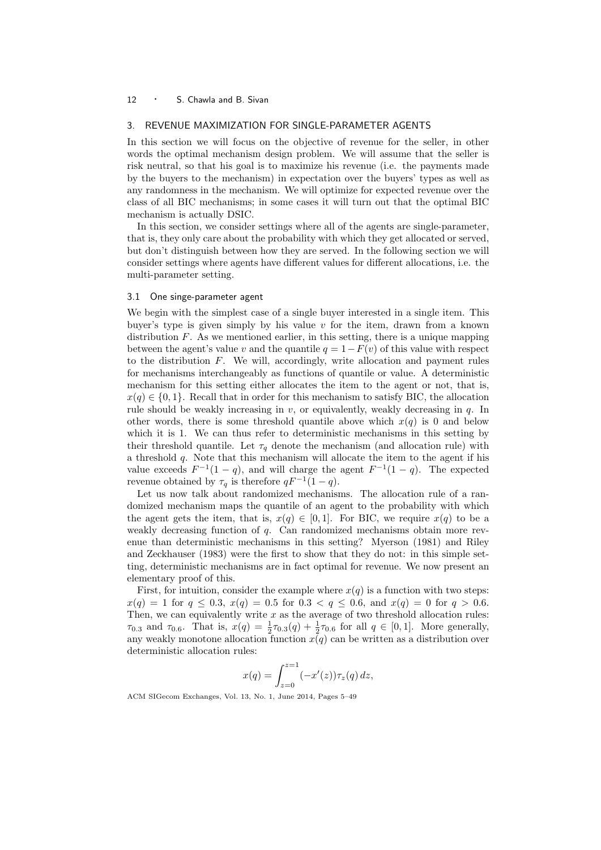# 3. REVENUE MAXIMIZATION FOR SINGLE-PARAMETER AGENTS

In this section we will focus on the objective of revenue for the seller, in other words the optimal mechanism design problem. We will assume that the seller is risk neutral, so that his goal is to maximize his revenue (i.e. the payments made by the buyers to the mechanism) in expectation over the buyers' types as well as any randomness in the mechanism. We will optimize for expected revenue over the class of all BIC mechanisms; in some cases it will turn out that the optimal BIC mechanism is actually DSIC.

In this section, we consider settings where all of the agents are single-parameter, that is, they only care about the probability with which they get allocated or served, but don't distinguish between how they are served. In the following section we will consider settings where agents have different values for different allocations, i.e. the multi-parameter setting.

#### 3.1 One singe-parameter agent

We begin with the simplest case of a single buyer interested in a single item. This buyer's type is given simply by his value  $v$  for the item, drawn from a known distribution  $F$ . As we mentioned earlier, in this setting, there is a unique mapping between the agent's value v and the quantile  $q = 1 - F(v)$  of this value with respect to the distribution  $F$ . We will, accordingly, write allocation and payment rules for mechanisms interchangeably as functions of quantile or value. A deterministic mechanism for this setting either allocates the item to the agent or not, that is,  $x(q) \in \{0, 1\}$ . Recall that in order for this mechanism to satisfy BIC, the allocation rule should be weakly increasing in  $v$ , or equivalently, weakly decreasing in  $q$ . In other words, there is some threshold quantile above which  $x(q)$  is 0 and below which it is 1. We can thus refer to deterministic mechanisms in this setting by their threshold quantile. Let  $\tau_q$  denote the mechanism (and allocation rule) with a threshold q. Note that this mechanism will allocate the item to the agent if his value exceeds  $F^{-1}(1-q)$ , and will charge the agent  $F^{-1}(1-q)$ . The expected revenue obtained by  $\tau_q$  is therefore  $qF^{-1}(1-q)$ .

Let us now talk about randomized mechanisms. The allocation rule of a randomized mechanism maps the quantile of an agent to the probability with which the agent gets the item, that is,  $x(q) \in [0,1]$ . For BIC, we require  $x(q)$  to be a weakly decreasing function of  $q$ . Can randomized mechanisms obtain more revenue than deterministic mechanisms in this setting? Myerson (1981) and Riley and Zeckhauser (1983) were the first to show that they do not: in this simple setting, deterministic mechanisms are in fact optimal for revenue. We now present an elementary proof of this.

First, for intuition, consider the example where  $x(q)$  is a function with two steps:  $x(q) = 1$  for  $q \le 0.3$ ,  $x(q) = 0.5$  for  $0.3 < q \le 0.6$ , and  $x(q) = 0$  for  $q > 0.6$ . Then, we can equivalently write  $x$  as the average of two threshold allocation rules:  $\tau_{0.3}$  and  $\tau_{0.6}$ . That is,  $x(q) = \frac{1}{2}\tau_{0.3}(q) + \frac{1}{2}\tau_{0.6}$  for all  $q \in [0,1]$ . More generally, any weakly monotone allocation function  $x(q)$  can be written as a distribution over deterministic allocation rules:

$$
x(q) = \int_{z=0}^{z=1} (-x'(z)) \tau_z(q) \, dz,
$$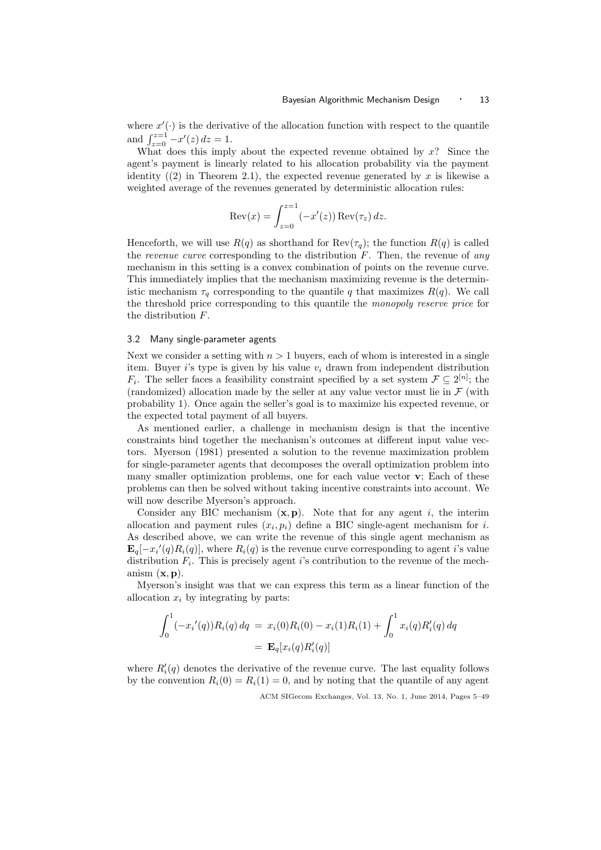where  $x'(\cdot)$  is the derivative of the allocation function with respect to the quantile and  $\int_{z=0}^{z=1} -x'(z) dz = 1$ .

What does this imply about the expected revenue obtained by  $x$ ? Since the agent's payment is linearly related to his allocation probability via the payment identity  $(2)$  in Theorem 2.1), the expected revenue generated by x is likewise a weighted average of the revenues generated by deterministic allocation rules:

$$
Rev(x) = \int_{z=0}^{z=1} (-x'(z)) Rev(\tau_z) dz.
$$

Henceforth, we will use  $R(q)$  as shorthand for  $\text{Rev}(\tau_q)$ ; the function  $R(q)$  is called the *revenue curve* corresponding to the distribution  $F$ . Then, the revenue of *any* mechanism in this setting is a convex combination of points on the revenue curve. This immediately implies that the mechanism maximizing revenue is the deterministic mechanism  $\tau_q$  corresponding to the quantile q that maximizes  $R(q)$ . We call the threshold price corresponding to this quantile the *monopoly reserve price* for the distribution F.

# 3.2 Many single-parameter agents

Next we consider a setting with  $n > 1$  buyers, each of whom is interested in a single item. Buyer i's type is given by his value  $v_i$  drawn from independent distribution  $F_i$ . The seller faces a feasibility constraint specified by a set system  $\mathcal{F} \subseteq 2^{[n]}$ ; the (randomized) allocation made by the seller at any value vector must lie in  $\mathcal F$  (with probability 1). Once again the seller's goal is to maximize his expected revenue, or the expected total payment of all buyers.

As mentioned earlier, a challenge in mechanism design is that the incentive constraints bind together the mechanism's outcomes at different input value vectors. Myerson (1981) presented a solution to the revenue maximization problem for single-parameter agents that decomposes the overall optimization problem into many smaller optimization problems, one for each value vector  $\mathbf{v}$ ; Each of these problems can then be solved without taking incentive constraints into account. We will now describe Myerson's approach.

Consider any BIC mechanism  $(x, p)$ . Note that for any agent i, the interim allocation and payment rules  $(x_i, p_i)$  define a BIC single-agent mechanism for i. As described above, we can write the revenue of this single agent mechanism as  $\mathbf{E}_q[-x_i'(q)R_i(q)]$ , where  $R_i(q)$  is the revenue curve corresponding to agent i's value distribution  $F_i$ . This is precisely agent i's contribution to the revenue of the mechanism  $(x, p)$ .

Myerson's insight was that we can express this term as a linear function of the allocation  $x_i$  by integrating by parts:

$$
\int_0^1 (-x_i'(q)) R_i(q) dq = x_i(0) R_i(0) - x_i(1) R_i(1) + \int_0^1 x_i(q) R'_i(q) dq
$$
  
=  $\mathbf{E}_q[x_i(q) R'_i(q)]$ 

where  $R_i'(q)$  denotes the derivative of the revenue curve. The last equality follows by the convention  $R_i(0) = R_i(1) = 0$ , and by noting that the quantile of any agent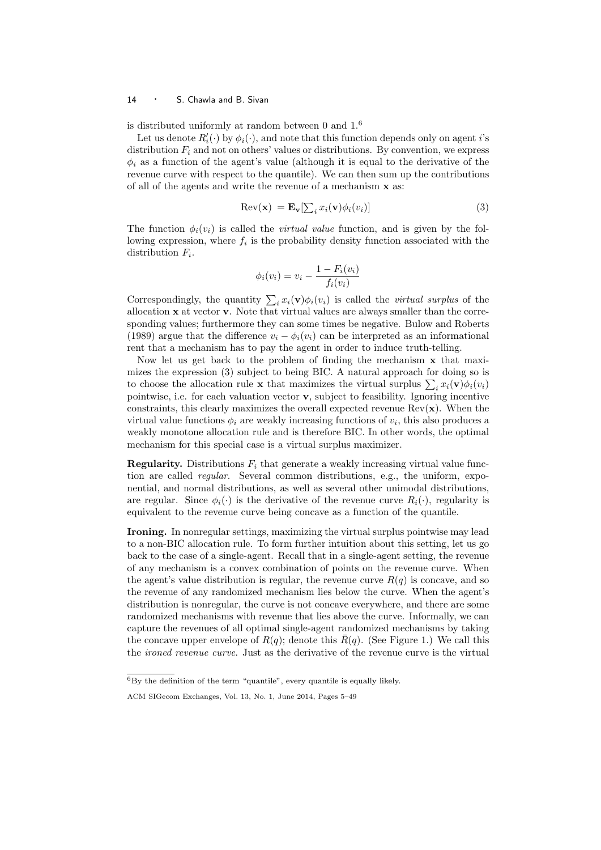is distributed uniformly at random between 0 and 1.<sup>6</sup>

Let us denote  $R_i'(\cdot)$  by  $\phi_i(\cdot)$ , and note that this function depends only on agent *i*'s distribution  $F_i$  and not on others' values or distributions. By convention, we express  $\phi_i$  as a function of the agent's value (although it is equal to the derivative of the revenue curve with respect to the quantile). We can then sum up the contributions of all of the agents and write the revenue of a mechanism x as:

$$
Rev(\mathbf{x}) = \mathbf{E}_{\mathbf{v}}[\sum_{i} x_i(\mathbf{v}) \phi_i(v_i)]
$$
\n(3)

The function  $\phi_i(v_i)$  is called the *virtual value* function, and is given by the following expression, where  $f_i$  is the probability density function associated with the distribution  $F_i$ .

$$
\phi_i(v_i) = v_i - \frac{1 - F_i(v_i)}{f_i(v_i)}
$$

Correspondingly, the quantity  $\sum_i x_i(\mathbf{v})\phi_i(v_i)$  is called the *virtual surplus* of the allocation x at vector v. Note that virtual values are always smaller than the corresponding values; furthermore they can some times be negative. Bulow and Roberts (1989) argue that the difference  $v_i - \phi_i(v_i)$  can be interpreted as an informational rent that a mechanism has to pay the agent in order to induce truth-telling.

Now let us get back to the problem of finding the mechanism  $x$  that maximizes the expression (3) subject to being BIC. A natural approach for doing so is to choose the allocation rule **x** that maximizes the virtual surplus  $\sum_i x_i(\mathbf{v})\phi_i(v_i)$ pointwise, i.e. for each valuation vector  $\mathbf{v}$ , subject to feasibility. Ignoring incentive constraints, this clearly maximizes the overall expected revenue  $Rev(\mathbf{x})$ . When the virtual value functions  $\phi_i$  are weakly increasing functions of  $v_i$ , this also produces a weakly monotone allocation rule and is therefore BIC. In other words, the optimal mechanism for this special case is a virtual surplus maximizer.

**Regularity.** Distributions  $F_i$  that generate a weakly increasing virtual value function are called regular. Several common distributions, e.g., the uniform, exponential, and normal distributions, as well as several other unimodal distributions, are regular. Since  $\phi_i(\cdot)$  is the derivative of the revenue curve  $R_i(\cdot)$ , regularity is equivalent to the revenue curve being concave as a function of the quantile.

Ironing. In nonregular settings, maximizing the virtual surplus pointwise may lead to a non-BIC allocation rule. To form further intuition about this setting, let us go back to the case of a single-agent. Recall that in a single-agent setting, the revenue of any mechanism is a convex combination of points on the revenue curve. When the agent's value distribution is regular, the revenue curve  $R(q)$  is concave, and so the revenue of any randomized mechanism lies below the curve. When the agent's distribution is nonregular, the curve is not concave everywhere, and there are some randomized mechanisms with revenue that lies above the curve. Informally, we can capture the revenues of all optimal single-agent randomized mechanisms by taking the concave upper envelope of  $R(q)$ ; denote this  $\bar{R}(q)$ . (See Figure 1.) We call this the ironed revenue curve. Just as the derivative of the revenue curve is the virtual

 ${}^{6}$ By the definition of the term "quantile", every quantile is equally likely.

ACM SIGecom Exchanges, Vol. 13, No. 1, June 2014, Pages 5–49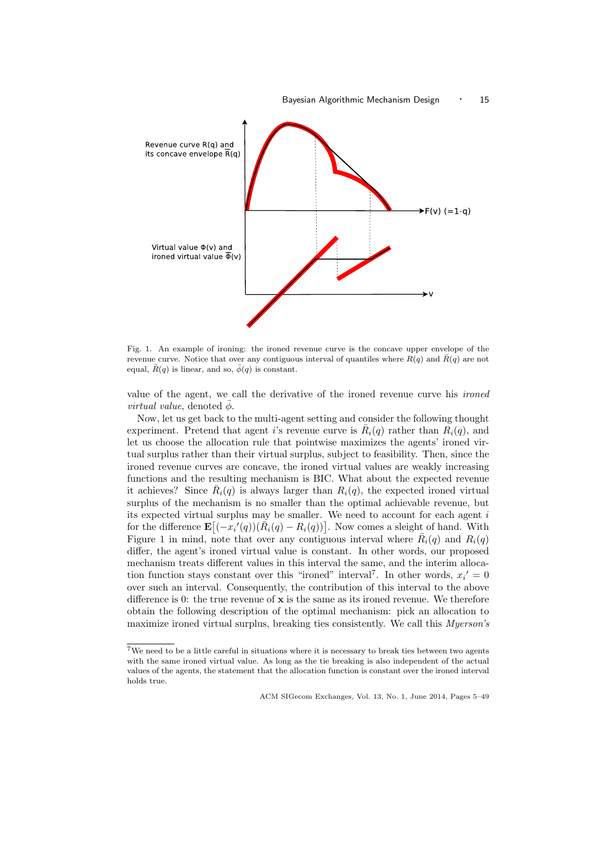

Fig. 1. An example of ironing: the ironed revenue curve is the concave upper envelope of the revenue curve. Notice that over any contiguous interval of quantiles where  $R(q)$  and  $\overline{R}(q)$  are not equal,  $\bar{R}(q)$  is linear, and so,  $\bar{\phi}(q)$  is constant.

value of the agent, we call the derivative of the ironed revenue curve his ironed *virtual value*, denoted  $\bar{\phi}$ .

Now, let us get back to the multi-agent setting and consider the following thought experiment. Pretend that agent i's revenue curve is  $\overline{R}_i(q)$  rather than  $\overline{R}_i(q)$ , and let us choose the allocation rule that pointwise maximizes the agents' ironed virtual surplus rather than their virtual surplus, subject to feasibility. Then, since the ironed revenue curves are concave, the ironed virtual values are weakly increasing functions and the resulting mechanism is BIC. What about the expected revenue it achieves? Since  $\bar{R}_i(q)$  is always larger than  $R_i(q)$ , the expected ironed virtual surplus of the mechanism is no smaller than the optimal achievable revenue, but its expected virtual surplus may be smaller. We need to account for each agent  $i$ for the difference  $\mathbf{E}\left[(-x_i'(q))(\tilde{R}_i(q)-R_i(q))\right]$ . Now comes a sleight of hand. With Figure 1 in mind, note that over any contiguous interval where  $\overline{R}_i(q)$  and  $R_i(q)$ differ, the agent's ironed virtual value is constant. In other words, our proposed mechanism treats different values in this interval the same, and the interim allocation function stays constant over this "ironed" interval<sup>7</sup>. In other words,  $x_i' = 0$ over such an interval. Consequently, the contribution of this interval to the above difference is 0: the true revenue of  $x$  is the same as its ironed revenue. We therefore obtain the following description of the optimal mechanism: pick an allocation to maximize ironed virtual surplus, breaking ties consistently. We call this Myerson's

 $7$ We need to be a little careful in situations where it is necessary to break ties between two agents with the same ironed virtual value. As long as the tie breaking is also independent of the actual values of the agents, the statement that the allocation function is constant over the ironed interval holds true.

ACM SIGecom Exchanges, Vol. 13, No. 1, June 2014, Pages 5–49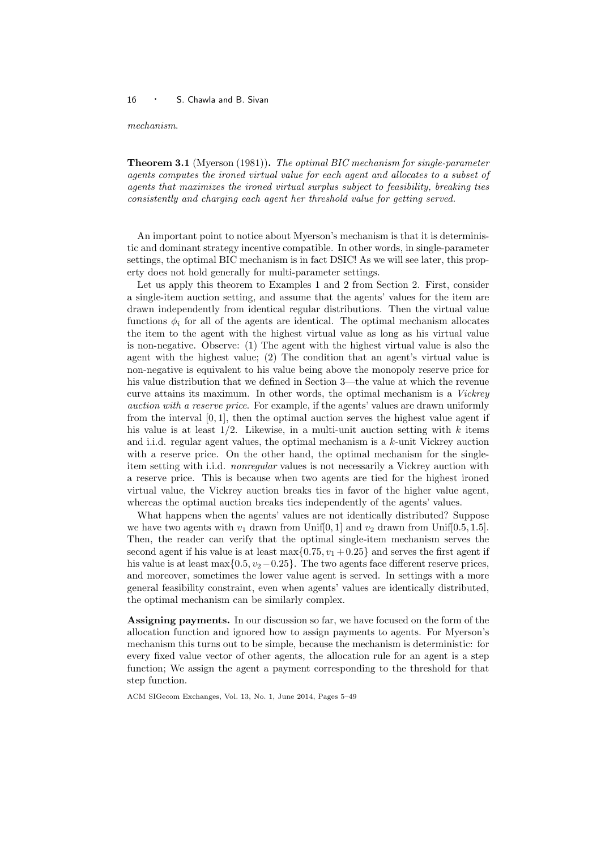#### mechanism.

Theorem 3.1 (Myerson (1981)). The optimal BIC mechanism for single-parameter agents computes the ironed virtual value for each agent and allocates to a subset of agents that maximizes the ironed virtual surplus subject to feasibility, breaking ties consistently and charging each agent her threshold value for getting served.

An important point to notice about Myerson's mechanism is that it is deterministic and dominant strategy incentive compatible. In other words, in single-parameter settings, the optimal BIC mechanism is in fact DSIC! As we will see later, this property does not hold generally for multi-parameter settings.

Let us apply this theorem to Examples 1 and 2 from Section 2. First, consider a single-item auction setting, and assume that the agents' values for the item are drawn independently from identical regular distributions. Then the virtual value functions  $\phi_i$  for all of the agents are identical. The optimal mechanism allocates the item to the agent with the highest virtual value as long as his virtual value is non-negative. Observe: (1) The agent with the highest virtual value is also the agent with the highest value; (2) The condition that an agent's virtual value is non-negative is equivalent to his value being above the monopoly reserve price for his value distribution that we defined in Section 3—the value at which the revenue curve attains its maximum. In other words, the optimal mechanism is a Vickrey auction with a reserve price. For example, if the agents' values are drawn uniformly from the interval  $[0, 1]$ , then the optimal auction serves the highest value agent if his value is at least  $1/2$ . Likewise, in a multi-unit auction setting with k items and i.i.d. regular agent values, the optimal mechanism is a  $k$ -unit Vickrey auction with a reserve price. On the other hand, the optimal mechanism for the singleitem setting with i.i.d. nonregular values is not necessarily a Vickrey auction with a reserve price. This is because when two agents are tied for the highest ironed virtual value, the Vickrey auction breaks ties in favor of the higher value agent, whereas the optimal auction breaks ties independently of the agents' values.

What happens when the agents' values are not identically distributed? Suppose we have two agents with  $v_1$  drawn from Unif[0, 1] and  $v_2$  drawn from Unif[0.5, 1.5]. Then, the reader can verify that the optimal single-item mechanism serves the second agent if his value is at least max $\{0.75, v_1 + 0.25\}$  and serves the first agent if his value is at least max $\{0.5, v_2-0.25\}$ . The two agents face different reserve prices, and moreover, sometimes the lower value agent is served. In settings with a more general feasibility constraint, even when agents' values are identically distributed, the optimal mechanism can be similarly complex.

Assigning payments. In our discussion so far, we have focused on the form of the allocation function and ignored how to assign payments to agents. For Myerson's mechanism this turns out to be simple, because the mechanism is deterministic: for every fixed value vector of other agents, the allocation rule for an agent is a step function; We assign the agent a payment corresponding to the threshold for that step function.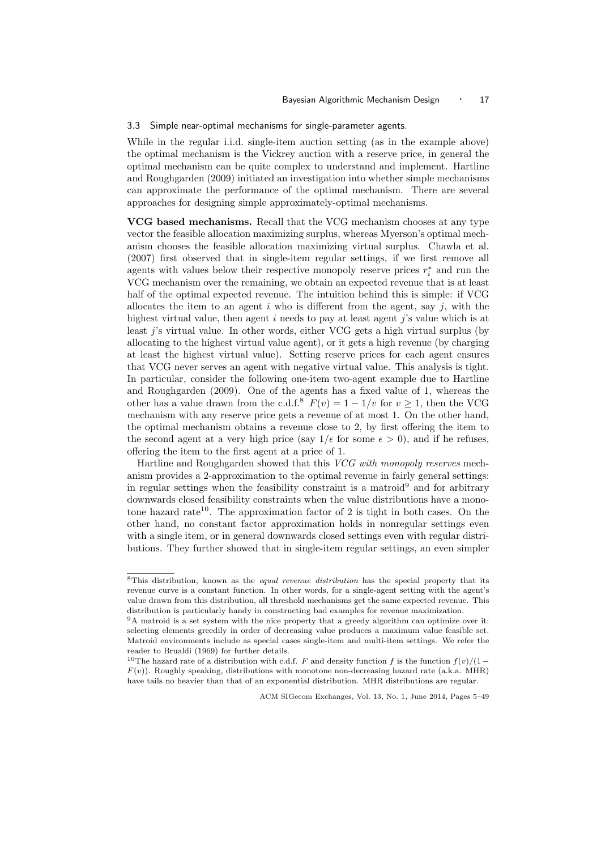#### 3.3 Simple near-optimal mechanisms for single-parameter agents.

While in the regular i.i.d. single-item auction setting (as in the example above) the optimal mechanism is the Vickrey auction with a reserve price, in general the optimal mechanism can be quite complex to understand and implement. Hartline and Roughgarden (2009) initiated an investigation into whether simple mechanisms can approximate the performance of the optimal mechanism. There are several approaches for designing simple approximately-optimal mechanisms.

VCG based mechanisms. Recall that the VCG mechanism chooses at any type vector the feasible allocation maximizing surplus, whereas Myerson's optimal mechanism chooses the feasible allocation maximizing virtual surplus. Chawla et al. (2007) first observed that in single-item regular settings, if we first remove all agents with values below their respective monopoly reserve prices  $r_i^*$  and run the VCG mechanism over the remaining, we obtain an expected revenue that is at least half of the optimal expected revenue. The intuition behind this is simple: if VCG allocates the item to an agent  $i$  who is different from the agent, say  $j$ , with the highest virtual value, then agent  $i$  needs to pay at least agent  $j$ 's value which is at least j's virtual value. In other words, either VCG gets a high virtual surplus (by allocating to the highest virtual value agent), or it gets a high revenue (by charging at least the highest virtual value). Setting reserve prices for each agent ensures that VCG never serves an agent with negative virtual value. This analysis is tight. In particular, consider the following one-item two-agent example due to Hartline and Roughgarden (2009). One of the agents has a fixed value of 1, whereas the other has a value drawn from the c.d.f.<sup>8</sup>  $F(v) = 1 - 1/v$  for  $v \ge 1$ , then the VCG mechanism with any reserve price gets a revenue of at most 1. On the other hand, the optimal mechanism obtains a revenue close to 2, by first offering the item to the second agent at a very high price (say  $1/\epsilon$  for some  $\epsilon > 0$ ), and if he refuses, offering the item to the first agent at a price of 1.

Hartline and Roughgarden showed that this VCG with monopoly reserves mechanism provides a 2-approximation to the optimal revenue in fairly general settings: in regular settings when the feasibility constraint is a matroid<sup>9</sup> and for arbitrary downwards closed feasibility constraints when the value distributions have a monotone hazard rate<sup>10</sup>. The approximation factor of 2 is tight in both cases. On the other hand, no constant factor approximation holds in nonregular settings even with a single item, or in general downwards closed settings even with regular distributions. They further showed that in single-item regular settings, an even simpler

<sup>&</sup>lt;sup>8</sup>This distribution, known as the *equal revenue distribution* has the special property that its revenue curve is a constant function. In other words, for a single-agent setting with the agent's value drawn from this distribution, all threshold mechanisms get the same expected revenue. This distribution is particularly handy in constructing bad examples for revenue maximization.

<sup>9</sup>A matroid is a set system with the nice property that a greedy algorithm can optimize over it: selecting elements greedily in order of decreasing value produces a maximum value feasible set. Matroid environments include as special cases single-item and multi-item settings. We refer the reader to Brualdi (1969) for further details.

<sup>&</sup>lt;sup>10</sup>The hazard rate of a distribution with c.d.f. F and density function f is the function  $f(v)/(1 F(v)$ ). Roughly speaking, distributions with monotone non-decreasing hazard rate (a.k.a. MHR) have tails no heavier than that of an exponential distribution. MHR distributions are regular.

ACM SIGecom Exchanges, Vol. 13, No. 1, June 2014, Pages 5–49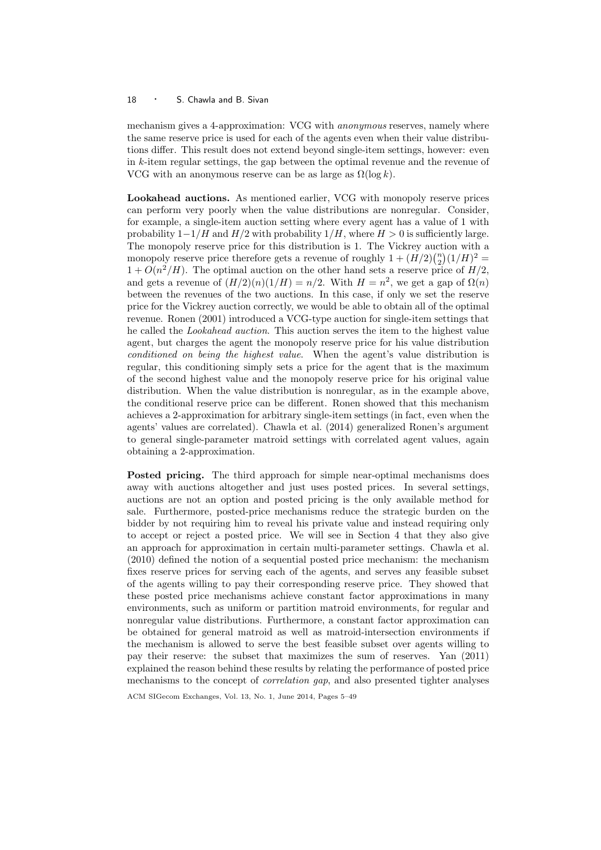mechanism gives a 4-approximation: VCG with anonymous reserves, namely where the same reserve price is used for each of the agents even when their value distributions differ. This result does not extend beyond single-item settings, however: even in k-item regular settings, the gap between the optimal revenue and the revenue of VCG with an anonymous reserve can be as large as  $\Omega(\log k)$ .

Lookahead auctions. As mentioned earlier, VCG with monopoly reserve prices can perform very poorly when the value distributions are nonregular. Consider, for example, a single-item auction setting where every agent has a value of 1 with probability  $1-1/H$  and  $H/2$  with probability  $1/H$ , where  $H > 0$  is sufficiently large. The monopoly reserve price for this distribution is 1. The Vickrey auction with a monopoly reserve price therefore gets a revenue of roughly  $1 + (H/2) {n \choose 2} (1/H)^2 =$  $1 + O(n^2/H)$ . The optimal auction on the other hand sets a reserve price of  $H/2$ , and gets a revenue of  $(H/2)(n)(1/H) = n/2$ . With  $H = n^2$ , we get a gap of  $\Omega(n)$ between the revenues of the two auctions. In this case, if only we set the reserve price for the Vickrey auction correctly, we would be able to obtain all of the optimal revenue. Ronen (2001) introduced a VCG-type auction for single-item settings that he called the Lookahead auction. This auction serves the item to the highest value agent, but charges the agent the monopoly reserve price for his value distribution conditioned on being the highest value. When the agent's value distribution is regular, this conditioning simply sets a price for the agent that is the maximum of the second highest value and the monopoly reserve price for his original value distribution. When the value distribution is nonregular, as in the example above, the conditional reserve price can be different. Ronen showed that this mechanism achieves a 2-approximation for arbitrary single-item settings (in fact, even when the agents' values are correlated). Chawla et al. (2014) generalized Ronen's argument to general single-parameter matroid settings with correlated agent values, again obtaining a 2-approximation.

Posted pricing. The third approach for simple near-optimal mechanisms does away with auctions altogether and just uses posted prices. In several settings, auctions are not an option and posted pricing is the only available method for sale. Furthermore, posted-price mechanisms reduce the strategic burden on the bidder by not requiring him to reveal his private value and instead requiring only to accept or reject a posted price. We will see in Section 4 that they also give an approach for approximation in certain multi-parameter settings. Chawla et al. (2010) defined the notion of a sequential posted price mechanism: the mechanism fixes reserve prices for serving each of the agents, and serves any feasible subset of the agents willing to pay their corresponding reserve price. They showed that these posted price mechanisms achieve constant factor approximations in many environments, such as uniform or partition matroid environments, for regular and nonregular value distributions. Furthermore, a constant factor approximation can be obtained for general matroid as well as matroid-intersection environments if the mechanism is allowed to serve the best feasible subset over agents willing to pay their reserve: the subset that maximizes the sum of reserves. Yan (2011) explained the reason behind these results by relating the performance of posted price mechanisms to the concept of correlation gap, and also presented tighter analyses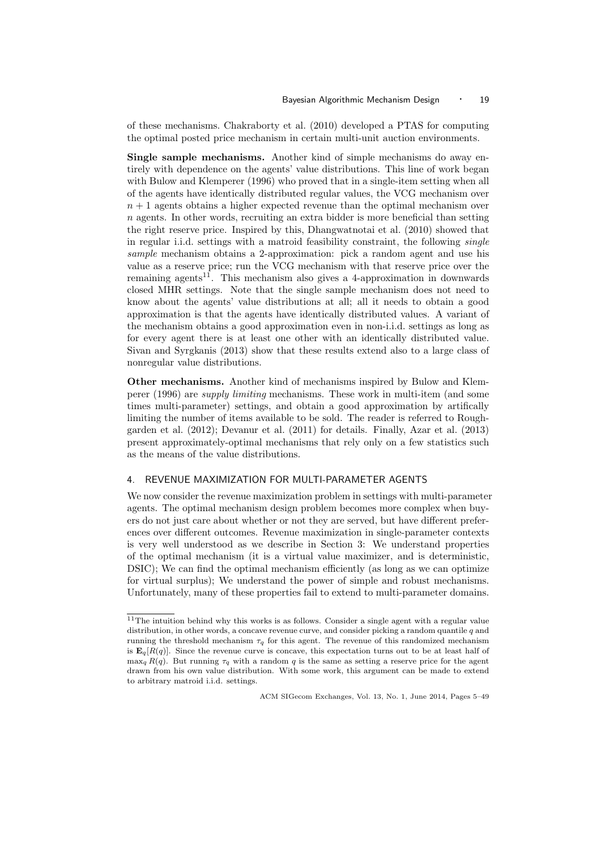of these mechanisms. Chakraborty et al. (2010) developed a PTAS for computing the optimal posted price mechanism in certain multi-unit auction environments.

Single sample mechanisms. Another kind of simple mechanisms do away entirely with dependence on the agents' value distributions. This line of work began with Bulow and Klemperer (1996) who proved that in a single-item setting when all of the agents have identically distributed regular values, the VCG mechanism over  $n + 1$  agents obtains a higher expected revenue than the optimal mechanism over n agents. In other words, recruiting an extra bidder is more beneficial than setting the right reserve price. Inspired by this, Dhangwatnotai et al. (2010) showed that in regular i.i.d. settings with a matroid feasibility constraint, the following single sample mechanism obtains a 2-approximation: pick a random agent and use his value as a reserve price; run the VCG mechanism with that reserve price over the remaining agents<sup>11</sup>. This mechanism also gives a 4-approximation in downwards closed MHR settings. Note that the single sample mechanism does not need to know about the agents' value distributions at all; all it needs to obtain a good approximation is that the agents have identically distributed values. A variant of the mechanism obtains a good approximation even in non-i.i.d. settings as long as for every agent there is at least one other with an identically distributed value. Sivan and Syrgkanis (2013) show that these results extend also to a large class of nonregular value distributions.

Other mechanisms. Another kind of mechanisms inspired by Bulow and Klemperer (1996) are supply limiting mechanisms. These work in multi-item (and some times multi-parameter) settings, and obtain a good approximation by artifically limiting the number of items available to be sold. The reader is referred to Roughgarden et al. (2012); Devanur et al. (2011) for details. Finally, Azar et al. (2013) present approximately-optimal mechanisms that rely only on a few statistics such as the means of the value distributions.

#### 4. REVENUE MAXIMIZATION FOR MULTI-PARAMETER AGENTS

We now consider the revenue maximization problem in settings with multi-parameter agents. The optimal mechanism design problem becomes more complex when buyers do not just care about whether or not they are served, but have different preferences over different outcomes. Revenue maximization in single-parameter contexts is very well understood as we describe in Section 3: We understand properties of the optimal mechanism (it is a virtual value maximizer, and is deterministic, DSIC); We can find the optimal mechanism efficiently (as long as we can optimize for virtual surplus); We understand the power of simple and robust mechanisms. Unfortunately, many of these properties fail to extend to multi-parameter domains.

 $11$ The intuition behind why this works is as follows. Consider a single agent with a regular value distribution, in other words, a concave revenue curve, and consider picking a random quantile q and running the threshold mechanism  $\tau_q$  for this agent. The revenue of this randomized mechanism is  $\mathbf{E}_q[R(q)]$ . Since the revenue curve is concave, this expectation turns out to be at least half of  $\max_q R(q)$ . But running  $\tau_q$  with a random q is the same as setting a reserve price for the agent drawn from his own value distribution. With some work, this argument can be made to extend to arbitrary matroid i.i.d. settings.

ACM SIGecom Exchanges, Vol. 13, No. 1, June 2014, Pages 5–49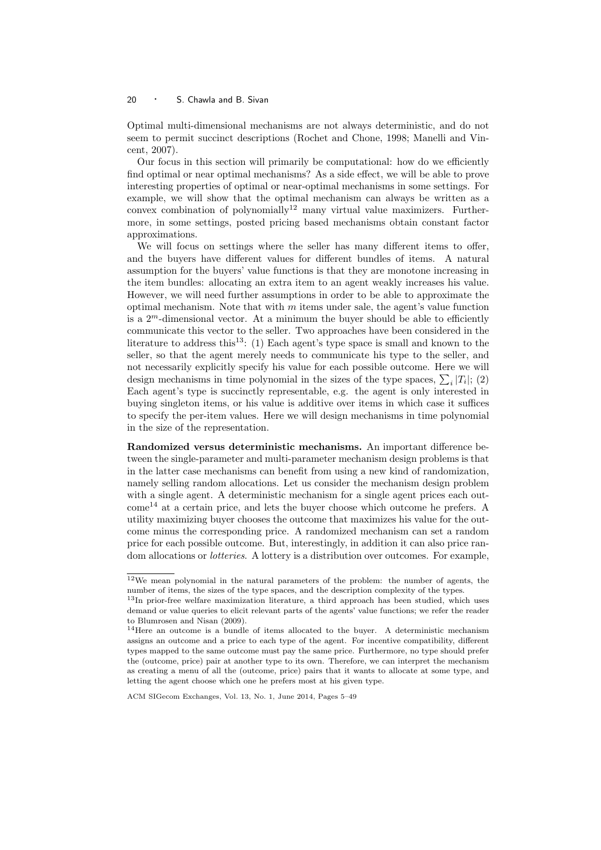Optimal multi-dimensional mechanisms are not always deterministic, and do not seem to permit succinct descriptions (Rochet and Chone, 1998; Manelli and Vincent, 2007).

Our focus in this section will primarily be computational: how do we efficiently find optimal or near optimal mechanisms? As a side effect, we will be able to prove interesting properties of optimal or near-optimal mechanisms in some settings. For example, we will show that the optimal mechanism can always be written as a convex combination of polynomially<sup>12</sup> many virtual value maximizers. Furthermore, in some settings, posted pricing based mechanisms obtain constant factor approximations.

We will focus on settings where the seller has many different items to offer, and the buyers have different values for different bundles of items. A natural assumption for the buyers' value functions is that they are monotone increasing in the item bundles: allocating an extra item to an agent weakly increases his value. However, we will need further assumptions in order to be able to approximate the optimal mechanism. Note that with  $m$  items under sale, the agent's value function is a  $2^m$ -dimensional vector. At a minimum the buyer should be able to efficiently communicate this vector to the seller. Two approaches have been considered in the literature to address this<sup>13</sup>: (1) Each agent's type space is small and known to the seller, so that the agent merely needs to communicate his type to the seller, and not necessarily explicitly specify his value for each possible outcome. Here we will design mechanisms in time polynomial in the sizes of the type spaces,  $\sum_i |T_i|$ ; (2) Each agent's type is succinctly representable, e.g. the agent is only interested in buying singleton items, or his value is additive over items in which case it suffices to specify the per-item values. Here we will design mechanisms in time polynomial in the size of the representation.

Randomized versus deterministic mechanisms. An important difference between the single-parameter and multi-parameter mechanism design problems is that in the latter case mechanisms can benefit from using a new kind of randomization, namely selling random allocations. Let us consider the mechanism design problem with a single agent. A deterministic mechanism for a single agent prices each out $com<sup>14</sup>$  at a certain price, and lets the buyer choose which outcome he prefers. A utility maximizing buyer chooses the outcome that maximizes his value for the outcome minus the corresponding price. A randomized mechanism can set a random price for each possible outcome. But, interestingly, in addition it can also price random allocations or lotteries. A lottery is a distribution over outcomes. For example,

 $12$ We mean polynomial in the natural parameters of the problem: the number of agents, the number of items, the sizes of the type spaces, and the description complexity of the types.

 $13$ In prior-free welfare maximization literature, a third approach has been studied, which uses demand or value queries to elicit relevant parts of the agents' value functions; we refer the reader to Blumrosen and Nisan (2009).

<sup>&</sup>lt;sup>14</sup>Here an outcome is a bundle of items allocated to the buyer. A deterministic mechanism assigns an outcome and a price to each type of the agent. For incentive compatibility, different types mapped to the same outcome must pay the same price. Furthermore, no type should prefer the (outcome, price) pair at another type to its own. Therefore, we can interpret the mechanism as creating a menu of all the (outcome, price) pairs that it wants to allocate at some type, and letting the agent choose which one he prefers most at his given type.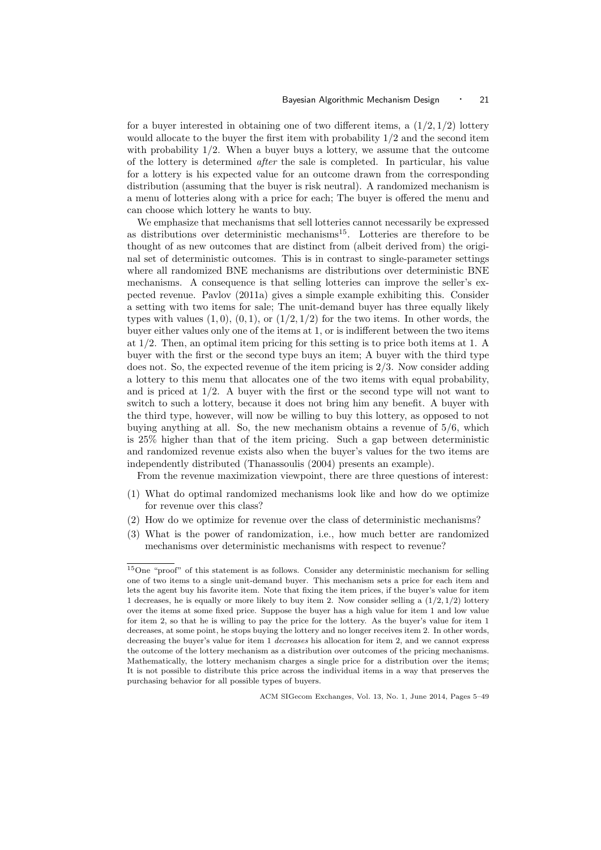for a buyer interested in obtaining one of two different items, a  $(1/2, 1/2)$  lottery would allocate to the buyer the first item with probability 1/2 and the second item with probability  $1/2$ . When a buyer buys a lottery, we assume that the outcome of the lottery is determined after the sale is completed. In particular, his value for a lottery is his expected value for an outcome drawn from the corresponding distribution (assuming that the buyer is risk neutral). A randomized mechanism is a menu of lotteries along with a price for each; The buyer is offered the menu and can choose which lottery he wants to buy.

We emphasize that mechanisms that sell lotteries cannot necessarily be expressed as distributions over deterministic mechanisms<sup>15</sup>. Lotteries are therefore to be thought of as new outcomes that are distinct from (albeit derived from) the original set of deterministic outcomes. This is in contrast to single-parameter settings where all randomized BNE mechanisms are distributions over deterministic BNE mechanisms. A consequence is that selling lotteries can improve the seller's expected revenue. Pavlov (2011a) gives a simple example exhibiting this. Consider a setting with two items for sale; The unit-demand buyer has three equally likely types with values  $(1, 0), (0, 1),$  or  $(1/2, 1/2)$  for the two items. In other words, the buyer either values only one of the items at 1, or is indifferent between the two items at 1/2. Then, an optimal item pricing for this setting is to price both items at 1. A buyer with the first or the second type buys an item; A buyer with the third type does not. So, the expected revenue of the item pricing is 2/3. Now consider adding a lottery to this menu that allocates one of the two items with equal probability, and is priced at  $1/2$ . A buyer with the first or the second type will not want to switch to such a lottery, because it does not bring him any benefit. A buyer with the third type, however, will now be willing to buy this lottery, as opposed to not buying anything at all. So, the new mechanism obtains a revenue of 5/6, which is 25% higher than that of the item pricing. Such a gap between deterministic and randomized revenue exists also when the buyer's values for the two items are independently distributed (Thanassoulis (2004) presents an example).

From the revenue maximization viewpoint, there are three questions of interest:

- (1) What do optimal randomized mechanisms look like and how do we optimize for revenue over this class?
- (2) How do we optimize for revenue over the class of deterministic mechanisms?
- (3) What is the power of randomization, i.e., how much better are randomized mechanisms over deterministic mechanisms with respect to revenue?

<sup>15</sup>One "proof" of this statement is as follows. Consider any deterministic mechanism for selling one of two items to a single unit-demand buyer. This mechanism sets a price for each item and lets the agent buy his favorite item. Note that fixing the item prices, if the buyer's value for item 1 decreases, he is equally or more likely to buy item 2. Now consider selling a  $(1/2, 1/2)$  lottery over the items at some fixed price. Suppose the buyer has a high value for item 1 and low value for item 2, so that he is willing to pay the price for the lottery. As the buyer's value for item 1 decreases, at some point, he stops buying the lottery and no longer receives item 2. In other words, decreasing the buyer's value for item 1 decreases his allocation for item 2, and we cannot express the outcome of the lottery mechanism as a distribution over outcomes of the pricing mechanisms. Mathematically, the lottery mechanism charges a single price for a distribution over the items; It is not possible to distribute this price across the individual items in a way that preserves the purchasing behavior for all possible types of buyers.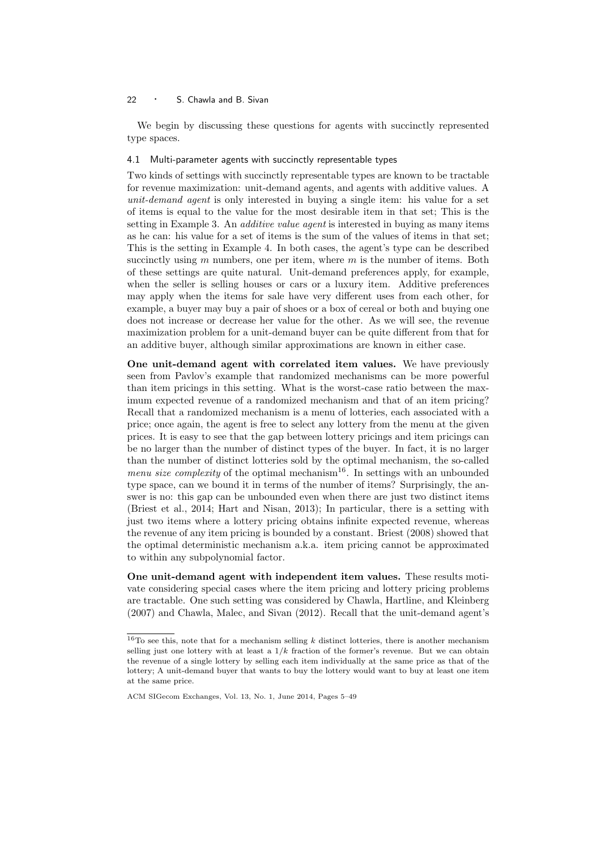We begin by discussing these questions for agents with succinctly represented type spaces.

# 4.1 Multi-parameter agents with succinctly representable types

Two kinds of settings with succinctly representable types are known to be tractable for revenue maximization: unit-demand agents, and agents with additive values. A unit-demand agent is only interested in buying a single item: his value for a set of items is equal to the value for the most desirable item in that set; This is the setting in Example 3. An additive value agent is interested in buying as many items as he can: his value for a set of items is the sum of the values of items in that set; This is the setting in Example 4. In both cases, the agent's type can be described succinctly using  $m$  numbers, one per item, where  $m$  is the number of items. Both of these settings are quite natural. Unit-demand preferences apply, for example, when the seller is selling houses or cars or a luxury item. Additive preferences may apply when the items for sale have very different uses from each other, for example, a buyer may buy a pair of shoes or a box of cereal or both and buying one does not increase or decrease her value for the other. As we will see, the revenue maximization problem for a unit-demand buyer can be quite different from that for an additive buyer, although similar approximations are known in either case.

One unit-demand agent with correlated item values. We have previously seen from Pavlov's example that randomized mechanisms can be more powerful than item pricings in this setting. What is the worst-case ratio between the maximum expected revenue of a randomized mechanism and that of an item pricing? Recall that a randomized mechanism is a menu of lotteries, each associated with a price; once again, the agent is free to select any lottery from the menu at the given prices. It is easy to see that the gap between lottery pricings and item pricings can be no larger than the number of distinct types of the buyer. In fact, it is no larger than the number of distinct lotteries sold by the optimal mechanism, the so-called *menu size complexity* of the optimal mechanism<sup>16</sup>. In settings with an unbounded type space, can we bound it in terms of the number of items? Surprisingly, the answer is no: this gap can be unbounded even when there are just two distinct items (Briest et al., 2014; Hart and Nisan, 2013); In particular, there is a setting with just two items where a lottery pricing obtains infinite expected revenue, whereas the revenue of any item pricing is bounded by a constant. Briest (2008) showed that the optimal deterministic mechanism a.k.a. item pricing cannot be approximated to within any subpolynomial factor.

One unit-demand agent with independent item values. These results motivate considering special cases where the item pricing and lottery pricing problems are tractable. One such setting was considered by Chawla, Hartline, and Kleinberg (2007) and Chawla, Malec, and Sivan (2012). Recall that the unit-demand agent's

<sup>&</sup>lt;sup>16</sup>To see this, note that for a mechanism selling k distinct lotteries, there is another mechanism selling just one lottery with at least a  $1/k$  fraction of the former's revenue. But we can obtain the revenue of a single lottery by selling each item individually at the same price as that of the lottery; A unit-demand buyer that wants to buy the lottery would want to buy at least one item at the same price.

ACM SIGecom Exchanges, Vol. 13, No. 1, June 2014, Pages 5–49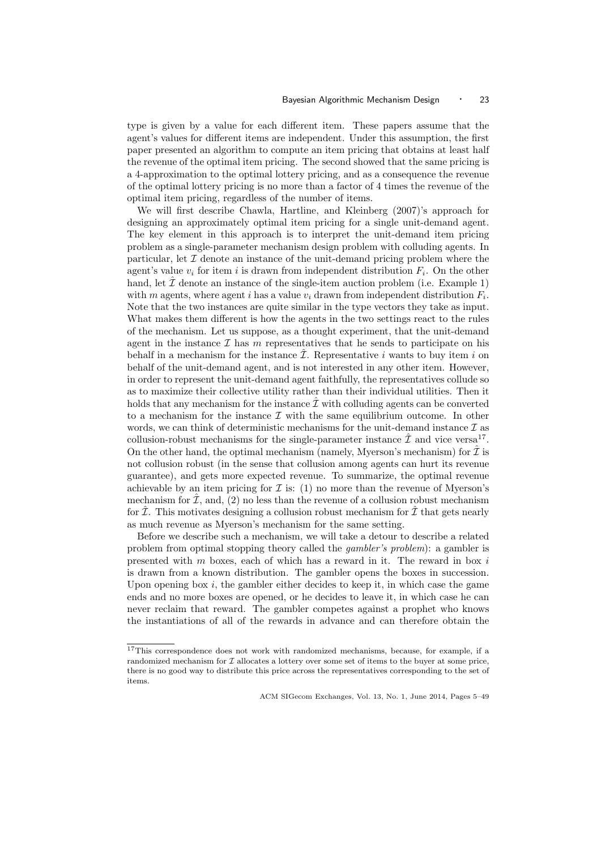type is given by a value for each different item. These papers assume that the agent's values for different items are independent. Under this assumption, the first paper presented an algorithm to compute an item pricing that obtains at least half the revenue of the optimal item pricing. The second showed that the same pricing is a 4-approximation to the optimal lottery pricing, and as a consequence the revenue of the optimal lottery pricing is no more than a factor of 4 times the revenue of the optimal item pricing, regardless of the number of items.

We will first describe Chawla, Hartline, and Kleinberg (2007)'s approach for designing an approximately optimal item pricing for a single unit-demand agent. The key element in this approach is to interpret the unit-demand item pricing problem as a single-parameter mechanism design problem with colluding agents. In particular, let  $\mathcal I$  denote an instance of the unit-demand pricing problem where the agent's value  $v_i$  for item i is drawn from independent distribution  $F_i$ . On the other hand, let  $\mathcal I$  denote an instance of the single-item auction problem (i.e. Example 1) with m agents, where agent i has a value  $v_i$  drawn from independent distribution  $F_i$ . Note that the two instances are quite similar in the type vectors they take as input. What makes them different is how the agents in the two settings react to the rules of the mechanism. Let us suppose, as a thought experiment, that the unit-demand agent in the instance  $\mathcal I$  has m representatives that he sends to participate on his behalf in a mechanism for the instance  $\mathcal{I}$ . Representative i wants to buy item i on behalf of the unit-demand agent, and is not interested in any other item. However, in order to represent the unit-demand agent faithfully, the representatives collude so as to maximize their collective utility rather than their individual utilities. Then it holds that any mechanism for the instance  $\tilde{\mathcal{I}}$  with colluding agents can be converted to a mechanism for the instance  $\mathcal I$  with the same equilibrium outcome. In other words, we can think of deterministic mechanisms for the unit-demand instance  $\mathcal I$  as collusion-robust mechanisms for the single-parameter instance  $\hat{\mathcal{I}}$  and vice versa<sup>17</sup>. On the other hand, the optimal mechanism (namely, Myerson's mechanism) for  $\bar{\mathcal{I}}$  is not collusion robust (in the sense that collusion among agents can hurt its revenue guarantee), and gets more expected revenue. To summarize, the optimal revenue achievable by an item pricing for  $\mathcal I$  is: (1) no more than the revenue of Myerson's mechanism for  $\mathcal{I}$ , and, (2) no less than the revenue of a collusion robust mechanism for  $\mathcal{I}$ . This motivates designing a collusion robust mechanism for  $\mathcal{I}$  that gets nearly as much revenue as Myerson's mechanism for the same setting.

Before we describe such a mechanism, we will take a detour to describe a related problem from optimal stopping theory called the gambler's problem): a gambler is presented with  $m$  boxes, each of which has a reward in it. The reward in box  $i$ is drawn from a known distribution. The gambler opens the boxes in succession. Upon opening box  $i$ , the gambler either decides to keep it, in which case the game ends and no more boxes are opened, or he decides to leave it, in which case he can never reclaim that reward. The gambler competes against a prophet who knows the instantiations of all of the rewards in advance and can therefore obtain the

<sup>&</sup>lt;sup>17</sup>This correspondence does not work with randomized mechanisms, because, for example, if a randomized mechanism for  $\mathcal I$  allocates a lottery over some set of items to the buyer at some price, there is no good way to distribute this price across the representatives corresponding to the set of items.

ACM SIGecom Exchanges, Vol. 13, No. 1, June 2014, Pages 5–49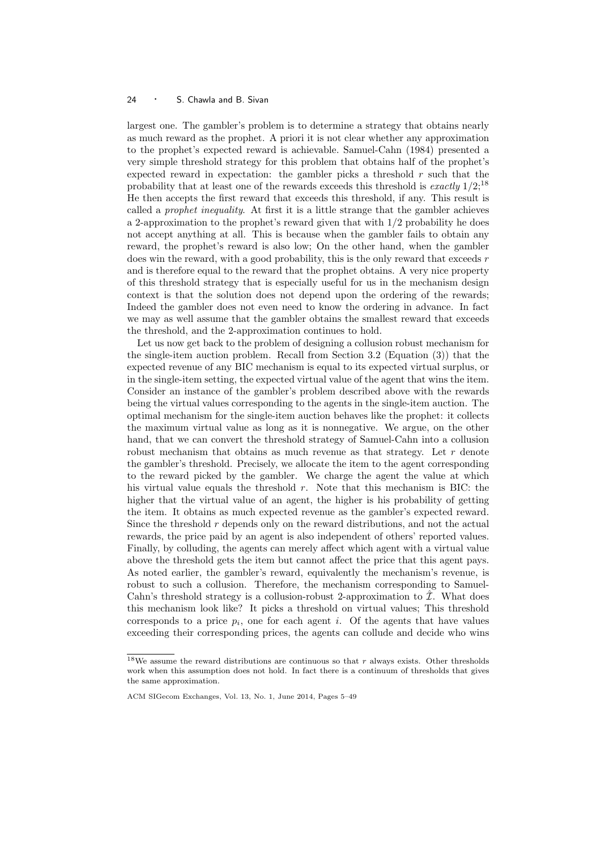largest one. The gambler's problem is to determine a strategy that obtains nearly as much reward as the prophet. A priori it is not clear whether any approximation to the prophet's expected reward is achievable. Samuel-Cahn (1984) presented a very simple threshold strategy for this problem that obtains half of the prophet's expected reward in expectation: the gambler picks a threshold  $r$  such that the probability that at least one of the rewards exceeds this threshold is *exactly*  $1/2$ ;<sup>18</sup> He then accepts the first reward that exceeds this threshold, if any. This result is called a prophet inequality. At first it is a little strange that the gambler achieves a 2-approximation to the prophet's reward given that with  $1/2$  probability he does not accept anything at all. This is because when the gambler fails to obtain any reward, the prophet's reward is also low; On the other hand, when the gambler does win the reward, with a good probability, this is the only reward that exceeds r and is therefore equal to the reward that the prophet obtains. A very nice property of this threshold strategy that is especially useful for us in the mechanism design context is that the solution does not depend upon the ordering of the rewards; Indeed the gambler does not even need to know the ordering in advance. In fact we may as well assume that the gambler obtains the smallest reward that exceeds the threshold, and the 2-approximation continues to hold.

Let us now get back to the problem of designing a collusion robust mechanism for the single-item auction problem. Recall from Section 3.2 (Equation (3)) that the expected revenue of any BIC mechanism is equal to its expected virtual surplus, or in the single-item setting, the expected virtual value of the agent that wins the item. Consider an instance of the gambler's problem described above with the rewards being the virtual values corresponding to the agents in the single-item auction. The optimal mechanism for the single-item auction behaves like the prophet: it collects the maximum virtual value as long as it is nonnegative. We argue, on the other hand, that we can convert the threshold strategy of Samuel-Cahn into a collusion robust mechanism that obtains as much revenue as that strategy. Let  $r$  denote the gambler's threshold. Precisely, we allocate the item to the agent corresponding to the reward picked by the gambler. We charge the agent the value at which his virtual value equals the threshold r. Note that this mechanism is BIC: the higher that the virtual value of an agent, the higher is his probability of getting the item. It obtains as much expected revenue as the gambler's expected reward. Since the threshold  $r$  depends only on the reward distributions, and not the actual rewards, the price paid by an agent is also independent of others' reported values. Finally, by colluding, the agents can merely affect which agent with a virtual value above the threshold gets the item but cannot affect the price that this agent pays. As noted earlier, the gambler's reward, equivalently the mechanism's revenue, is robust to such a collusion. Therefore, the mechanism corresponding to Samuel-Cahn's threshold strategy is a collusion-robust 2-approximation to  $\mathcal{I}$ . What does this mechanism look like? It picks a threshold on virtual values; This threshold corresponds to a price  $p_i$ , one for each agent i. Of the agents that have values exceeding their corresponding prices, the agents can collude and decide who wins

 $18$ We assume the reward distributions are continuous so that r always exists. Other thresholds work when this assumption does not hold. In fact there is a continuum of thresholds that gives the same approximation.

ACM SIGecom Exchanges, Vol. 13, No. 1, June 2014, Pages 5–49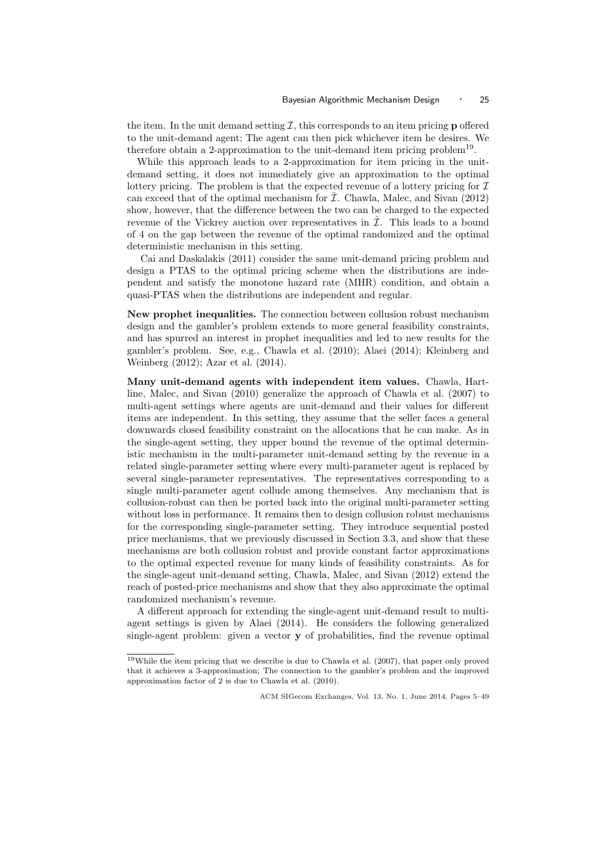the item. In the unit demand setting  $I$ , this corresponds to an item pricing  $\bf{p}$  offered to the unit-demand agent; The agent can then pick whichever item he desires. We therefore obtain a 2-approximation to the unit-demand item pricing problem<sup>19</sup>.

While this approach leads to a 2-approximation for item pricing in the unitdemand setting, it does not immediately give an approximation to the optimal lottery pricing. The problem is that the expected revenue of a lottery pricing for  $\mathcal I$ can exceed that of the optimal mechanism for  $\hat{\mathcal{I}}$ . Chawla, Malec, and Sivan (2012) show, however, that the difference between the two can be charged to the expected revenue of the Vickrey auction over representatives in  $\mathcal{I}$ . This leads to a bound of 4 on the gap between the revenue of the optimal randomized and the optimal deterministic mechanism in this setting.

Cai and Daskalakis (2011) consider the same unit-demand pricing problem and design a PTAS to the optimal pricing scheme when the distributions are independent and satisfy the monotone hazard rate (MHR) condition, and obtain a quasi-PTAS when the distributions are independent and regular.

New prophet inequalities. The connection between collusion robust mechanism design and the gambler's problem extends to more general feasibility constraints, and has spurred an interest in prophet inequalities and led to new results for the gambler's problem. See, e.g., Chawla et al. (2010); Alaei (2014); Kleinberg and Weinberg (2012); Azar et al. (2014).

Many unit-demand agents with independent item values. Chawla, Hartline, Malec, and Sivan (2010) generalize the approach of Chawla et al. (2007) to multi-agent settings where agents are unit-demand and their values for different items are independent. In this setting, they assume that the seller faces a general downwards closed feasibility constraint on the allocations that he can make. As in the single-agent setting, they upper bound the revenue of the optimal deterministic mechanism in the multi-parameter unit-demand setting by the revenue in a related single-parameter setting where every multi-parameter agent is replaced by several single-parameter representatives. The representatives corresponding to a single multi-parameter agent collude among themselves. Any mechanism that is collusion-robust can then be ported back into the original multi-parameter setting without loss in performance. It remains then to design collusion robust mechanisms for the corresponding single-parameter setting. They introduce sequential posted price mechanisms, that we previously discussed in Section 3.3, and show that these mechanisms are both collusion robust and provide constant factor approximations to the optimal expected revenue for many kinds of feasibility constraints. As for the single-agent unit-demand setting, Chawla, Malec, and Sivan (2012) extend the reach of posted-price mechanisms and show that they also approximate the optimal randomized mechanism's revenue.

A different approach for extending the single-agent unit-demand result to multiagent settings is given by Alaei (2014). He considers the following generalized single-agent problem: given a vector  $\bf{v}$  of probabilities, find the revenue optimal

<sup>19</sup>While the item pricing that we describe is due to Chawla et al. (2007), that paper only proved that it achieves a 3-approximation; The connection to the gambler's problem and the improved approximation factor of 2 is due to Chawla et al. (2010).

ACM SIGecom Exchanges, Vol. 13, No. 1, June 2014, Pages 5–49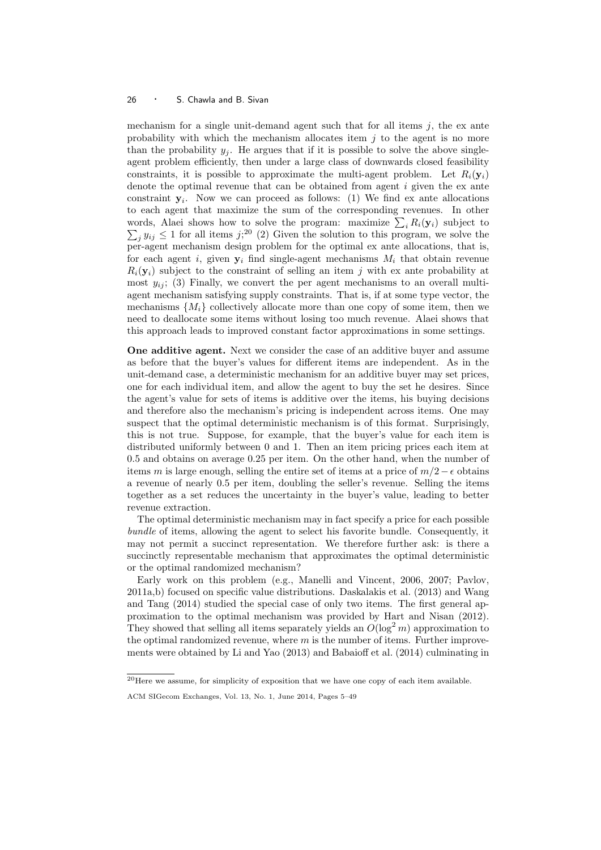mechanism for a single unit-demand agent such that for all items  $j$ , the ex ante probability with which the mechanism allocates item  $j$  to the agent is no more than the probability  $y_i$ . He argues that if it is possible to solve the above singleagent problem efficiently, then under a large class of downwards closed feasibility constraints, it is possible to approximate the multi-agent problem. Let  $R_i(\mathbf{y}_i)$ denote the optimal revenue that can be obtained from agent  $i$  given the ex ante constraint  $y_i$ . Now we can proceed as follows: (1) We find ex ante allocations to each agent that maximize the sum of the corresponding revenues. In other words, Alaei shows how to solve the program: maximize  $\sum_i R_i(\mathbf{y}_i)$  subject to  $\sum_j y_{ij} \leq 1$  for all items  $j^{20}$  (2) Given the solution to this program, we solve the per-agent mechanism design problem for the optimal ex ante allocations, that is, for each agent i, given  $y_i$  find single-agent mechanisms  $M_i$  that obtain revenue  $R_i(\mathbf{y}_i)$  subject to the constraint of selling an item j with ex ante probability at most  $y_{ii}$ ; (3) Finally, we convert the per agent mechanisms to an overall multiagent mechanism satisfying supply constraints. That is, if at some type vector, the mechanisms  $\{M_i\}$  collectively allocate more than one copy of some item, then we need to deallocate some items without losing too much revenue. Alaei shows that this approach leads to improved constant factor approximations in some settings.

One additive agent. Next we consider the case of an additive buyer and assume as before that the buyer's values for different items are independent. As in the unit-demand case, a deterministic mechanism for an additive buyer may set prices, one for each individual item, and allow the agent to buy the set he desires. Since the agent's value for sets of items is additive over the items, his buying decisions and therefore also the mechanism's pricing is independent across items. One may suspect that the optimal deterministic mechanism is of this format. Surprisingly, this is not true. Suppose, for example, that the buyer's value for each item is distributed uniformly between 0 and 1. Then an item pricing prices each item at 0.5 and obtains on average 0.25 per item. On the other hand, when the number of items m is large enough, selling the entire set of items at a price of  $m/2 - \epsilon$  obtains a revenue of nearly 0.5 per item, doubling the seller's revenue. Selling the items together as a set reduces the uncertainty in the buyer's value, leading to better revenue extraction.

The optimal deterministic mechanism may in fact specify a price for each possible bundle of items, allowing the agent to select his favorite bundle. Consequently, it may not permit a succinct representation. We therefore further ask: is there a succinctly representable mechanism that approximates the optimal deterministic or the optimal randomized mechanism?

Early work on this problem (e.g., Manelli and Vincent, 2006, 2007; Pavlov, 2011a,b) focused on specific value distributions. Daskalakis et al. (2013) and Wang and Tang (2014) studied the special case of only two items. The first general approximation to the optimal mechanism was provided by Hart and Nisan (2012). They showed that selling all items separately yields an  $O(\log^2 m)$  approximation to the optimal randomized revenue, where  $m$  is the number of items. Further improvements were obtained by Li and Yao (2013) and Babaioff et al. (2014) culminating in

<sup>20</sup>Here we assume, for simplicity of exposition that we have one copy of each item available.

ACM SIGecom Exchanges, Vol. 13, No. 1, June 2014, Pages 5–49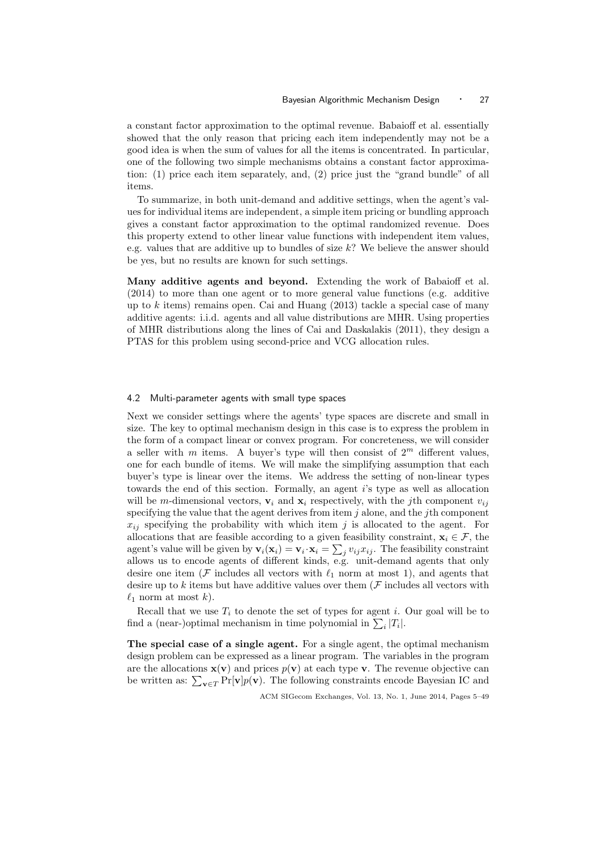a constant factor approximation to the optimal revenue. Babaioff et al. essentially showed that the only reason that pricing each item independently may not be a good idea is when the sum of values for all the items is concentrated. In particular, one of the following two simple mechanisms obtains a constant factor approximation: (1) price each item separately, and, (2) price just the "grand bundle" of all items.

To summarize, in both unit-demand and additive settings, when the agent's values for individual items are independent, a simple item pricing or bundling approach gives a constant factor approximation to the optimal randomized revenue. Does this property extend to other linear value functions with independent item values, e.g. values that are additive up to bundles of size  $k$ ? We believe the answer should be yes, but no results are known for such settings.

Many additive agents and beyond. Extending the work of Babaioff et al. (2014) to more than one agent or to more general value functions (e.g. additive up to k items) remains open. Cai and Huang  $(2013)$  tackle a special case of many additive agents: i.i.d. agents and all value distributions are MHR. Using properties of MHR distributions along the lines of Cai and Daskalakis (2011), they design a PTAS for this problem using second-price and VCG allocation rules.

#### 4.2 Multi-parameter agents with small type spaces

Next we consider settings where the agents' type spaces are discrete and small in size. The key to optimal mechanism design in this case is to express the problem in the form of a compact linear or convex program. For concreteness, we will consider a seller with  $m$  items. A buyer's type will then consist of  $2^m$  different values, one for each bundle of items. We will make the simplifying assumption that each buyer's type is linear over the items. We address the setting of non-linear types towards the end of this section. Formally, an agent i's type as well as allocation will be m-dimensional vectors,  $v_i$  and  $x_i$  respectively, with the *j*th component  $v_{ij}$ specifying the value that the agent derives from item  $j$  alone, and the  $j$ th component  $x_{ij}$  specifying the probability with which item j is allocated to the agent. For allocations that are feasible according to a given feasibility constraint,  $x_i \in \mathcal{F}$ , the agent's value will be given by  $\mathbf{v}_i(\mathbf{x}_i) = \mathbf{v}_i \cdot \mathbf{x}_i = \sum_j v_{ij} x_{ij}$ . The feasibility constraint allows us to encode agents of different kinds, e.g. unit-demand agents that only desire one item ( $\mathcal F$  includes all vectors with  $\ell_1$  norm at most 1), and agents that desire up to k items but have additive values over them  $(F$  includes all vectors with  $\ell_1$  norm at most k).

Recall that we use  $T_i$  to denote the set of types for agent i. Our goal will be to find a (near-)optimal mechanism in time polynomial in  $\sum_i |T_i|$ .

The special case of a single agent. For a single agent, the optimal mechanism design problem can be expressed as a linear program. The variables in the program are the allocations  $\mathbf{x}(v)$  and prices  $p(v)$  at each type v. The revenue objective can be written as:  $\sum_{\mathbf{v}\in T} \Pr[\mathbf{v}] p(\mathbf{v})$ . The following constraints encode Bayesian IC and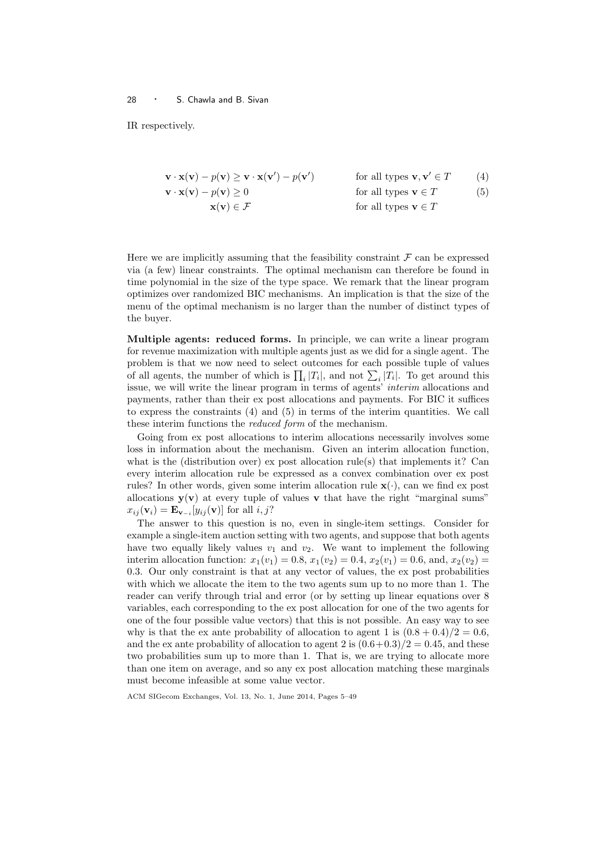IR respectively.

$$
\mathbf{v} \cdot \mathbf{x}(\mathbf{v}) - p(\mathbf{v}) \ge \mathbf{v} \cdot \mathbf{x}(\mathbf{v}') - p(\mathbf{v}')
$$
 for all types  $\mathbf{v}, \mathbf{v}' \in T$  (4)  
\n
$$
\mathbf{v} \cdot \mathbf{x}(\mathbf{v}) - p(\mathbf{v}) \ge 0
$$
 for all types  $\mathbf{v} \in T$  (5)  
\nfor all types  $\mathbf{v} \in T$  (5)

Here we are implicitly assuming that the feasibility constraint  $\mathcal F$  can be expressed via (a few) linear constraints. The optimal mechanism can therefore be found in time polynomial in the size of the type space. We remark that the linear program optimizes over randomized BIC mechanisms. An implication is that the size of the menu of the optimal mechanism is no larger than the number of distinct types of the buyer.

Multiple agents: reduced forms. In principle, we can write a linear program for revenue maximization with multiple agents just as we did for a single agent. The problem is that we now need to select outcomes for each possible tuple of values of all agents, the number of which is  $\prod_i |T_i|$ , and not  $\sum_i |T_i|$ . To get around this issue, we will write the linear program in terms of agents' interim allocations and payments, rather than their ex post allocations and payments. For BIC it suffices to express the constraints (4) and (5) in terms of the interim quantities. We call these interim functions the reduced form of the mechanism.

Going from ex post allocations to interim allocations necessarily involves some loss in information about the mechanism. Given an interim allocation function, what is the (distribution over) ex post allocation rule(s) that implements it? Can every interim allocation rule be expressed as a convex combination over ex post rules? In other words, given some interim allocation rule  $\mathbf{x}(\cdot)$ , can we find ex post allocations  $y(v)$  at every tuple of values v that have the right "marginal sums"  $x_{ij}(\mathbf{v}_i) = \mathbf{E}_{\mathbf{v}_{-i}}[y_{ij}(\mathbf{v})]$  for all  $i, j$ ?

The answer to this question is no, even in single-item settings. Consider for example a single-item auction setting with two agents, and suppose that both agents have two equally likely values  $v_1$  and  $v_2$ . We want to implement the following interim allocation function:  $x_1(v_1) = 0.8$ ,  $x_1(v_2) = 0.4$ ,  $x_2(v_1) = 0.6$ , and,  $x_2(v_2) =$ 0.3. Our only constraint is that at any vector of values, the ex post probabilities with which we allocate the item to the two agents sum up to no more than 1. The reader can verify through trial and error (or by setting up linear equations over 8 variables, each corresponding to the ex post allocation for one of the two agents for one of the four possible value vectors) that this is not possible. An easy way to see why is that the ex ante probability of allocation to agent 1 is  $(0.8 + 0.4)/2 = 0.6$ , and the ex ante probability of allocation to agent 2 is  $(0.6+0.3)/2 = 0.45$ , and these two probabilities sum up to more than 1. That is, we are trying to allocate more than one item on average, and so any ex post allocation matching these marginals must become infeasible at some value vector.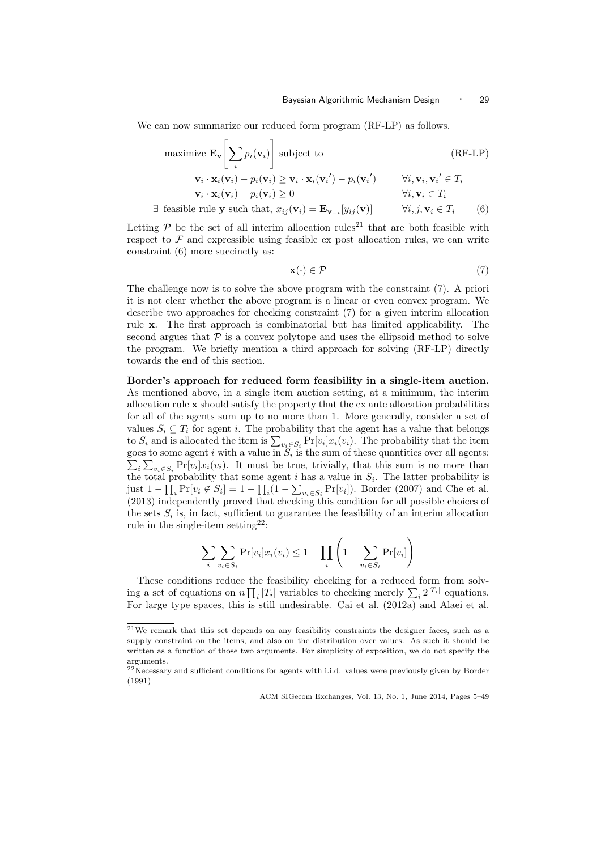We can now summarize our reduced form program (RF-LP) as follows.

maximize 
$$
\mathbf{E}_{\mathbf{v}} \left[ \sum_{i} p_i(\mathbf{v}_i) \right]
$$
 subject to  
\n
$$
\mathbf{v}_i \cdot \mathbf{x}_i(\mathbf{v}_i) - p_i(\mathbf{v}_i) \ge \mathbf{v}_i \cdot \mathbf{x}_i(\mathbf{v}'_i) - p_i(\mathbf{v}'_i) \qquad \forall i, \mathbf{v}_i, \mathbf{v}'_i \in T_i
$$
\n
$$
\mathbf{v}_i \cdot \mathbf{x}_i(\mathbf{v}_i) - p_i(\mathbf{v}_i) \ge 0 \qquad \forall i, \mathbf{v}_i \in T_i
$$
\n
$$
\mathbf{v}_i \cdot \mathbf{x}_i(\mathbf{v}_i) - p_i(\mathbf{v}_i) \ge 0 \qquad \forall i, \mathbf{v}_i \in T_i
$$

$$
\exists \text{ feasible rule } \mathbf{y} \text{ such that, } x_{ij}(\mathbf{v}_i) = \mathbf{E}_{\mathbf{v}_{-i}}[y_{ij}(\mathbf{v})] \qquad \forall i, j, \mathbf{v}_i \in T_i \qquad (6)
$$

Letting  $P$  be the set of all interim allocation rules<sup>21</sup> that are both feasible with respect to  $\mathcal F$  and expressible using feasible ex post allocation rules, we can write constraint (6) more succinctly as:

$$
\mathbf{x}(\cdot) \in \mathcal{P} \tag{7}
$$

The challenge now is to solve the above program with the constraint (7). A priori it is not clear whether the above program is a linear or even convex program. We describe two approaches for checking constraint (7) for a given interim allocation rule x. The first approach is combinatorial but has limited applicability. The second argues that  $P$  is a convex polytope and uses the ellipsoid method to solve the program. We briefly mention a third approach for solving (RF-LP) directly towards the end of this section.

Border's approach for reduced form feasibility in a single-item auction. As mentioned above, in a single item auction setting, at a minimum, the interim allocation rule x should satisfy the property that the ex ante allocation probabilities for all of the agents sum up to no more than 1. More generally, consider a set of values  $S_i \subseteq T_i$  for agent i. The probability that the agent has a value that belongs to  $S_i$  and is allocated the item is  $\sum_{v_i \in S_i} \Pr[v_i] x_i(v_i)$ . The probability that the item goes to some agent i with a value in  $S_i$  is the sum of these quantities over all agents:  $\sum_i \sum_{v_i \in S_i} \Pr[v_i] x_i(v_i)$ . It must be true, trivially, that this sum is no more than the total probability that some agent  $i$  has a value in  $S_i$ . The latter probability is just  $1 - \prod_i \Pr[v_i \notin S_i] = 1 - \prod_i (1 - \sum_{v_i \in S_i} \Pr[v_i])$ . Border (2007) and Che et al. (2013) independently proved that checking this condition for all possible choices of the sets  $S_i$  is, in fact, sufficient to guarantee the feasibility of an interim allocation rule in the single-item setting<sup>22</sup>:

$$
\sum_{i} \sum_{v_i \in S_i} \Pr[v_i] x_i(v_i) \le 1 - \prod_{i} \left( 1 - \sum_{v_i \in S_i} \Pr[v_i] \right)
$$

These conditions reduce the feasibility checking for a reduced form from solving a set of equations on  $n \prod_i |T_i|$  variables to checking merely  $\sum_i 2^{|T_i|}$  equations. For large type spaces, this is still undesirable. Cai et al. (2012a) and Alaei et al.

<sup>21</sup>We remark that this set depends on any feasibility constraints the designer faces, such as a supply constraint on the items, and also on the distribution over values. As such it should be written as a function of those two arguments. For simplicity of exposition, we do not specify the arguments.

<sup>22</sup>Necessary and sufficient conditions for agents with i.i.d. values were previously given by Border (1991)

ACM SIGecom Exchanges, Vol. 13, No. 1, June 2014, Pages 5–49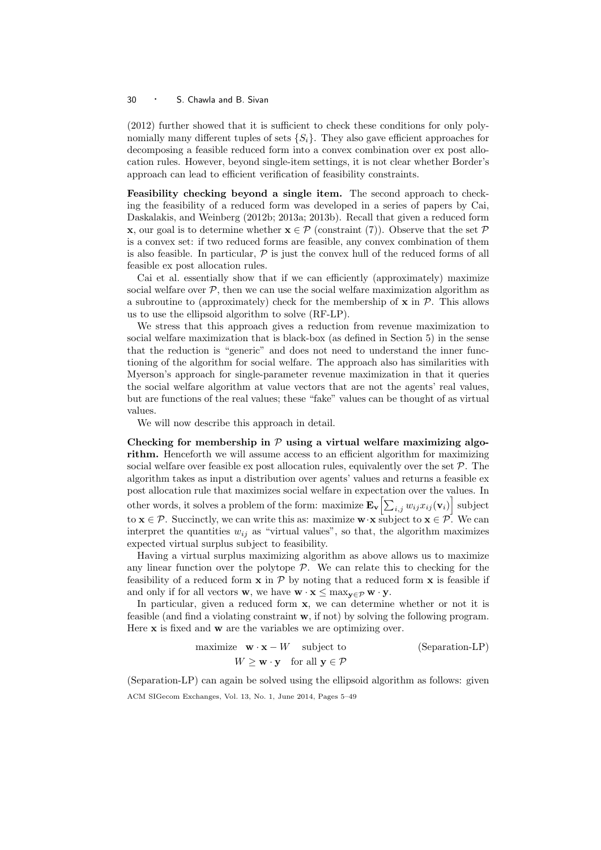(2012) further showed that it is sufficient to check these conditions for only polynomially many different tuples of sets  $\{S_i\}$ . They also gave efficient approaches for decomposing a feasible reduced form into a convex combination over ex post allocation rules. However, beyond single-item settings, it is not clear whether Border's approach can lead to efficient verification of feasibility constraints.

Feasibility checking beyond a single item. The second approach to checking the feasibility of a reduced form was developed in a series of papers by Cai, Daskalakis, and Weinberg (2012b; 2013a; 2013b). Recall that given a reduced form **x**, our goal is to determine whether  $\mathbf{x} \in \mathcal{P}$  (constraint (7)). Observe that the set  $\mathcal{P}$ is a convex set: if two reduced forms are feasible, any convex combination of them is also feasible. In particular,  $P$  is just the convex hull of the reduced forms of all feasible ex post allocation rules.

Cai et al. essentially show that if we can efficiently (approximately) maximize social welfare over  $P$ , then we can use the social welfare maximization algorithm as a subroutine to (approximately) check for the membership of  $x$  in  $\mathcal{P}$ . This allows us to use the ellipsoid algorithm to solve (RF-LP).

We stress that this approach gives a reduction from revenue maximization to social welfare maximization that is black-box (as defined in Section 5) in the sense that the reduction is "generic" and does not need to understand the inner functioning of the algorithm for social welfare. The approach also has similarities with Myerson's approach for single-parameter revenue maximization in that it queries the social welfare algorithm at value vectors that are not the agents' real values, but are functions of the real values; these "fake" values can be thought of as virtual values.

We will now describe this approach in detail.

Checking for membership in  $P$  using a virtual welfare maximizing algorithm. Henceforth we will assume access to an efficient algorithm for maximizing social welfare over feasible ex post allocation rules, equivalently over the set  $\mathcal{P}$ . The algorithm takes as input a distribution over agents' values and returns a feasible ex post allocation rule that maximizes social welfare in expectation over the values. In other words, it solves a problem of the form: maximize  $\mathbf{E}_{\mathbf{v}}\Bigl[\sum_{i,j} w_{ij} x_{ij}(\mathbf{v}_i)\Bigr]$  subject to  $x \in \mathcal{P}$ . Succinctly, we can write this as: maximize  $w \cdot x$  subject to  $x \in \mathcal{P}$ . We can interpret the quantities  $w_{ij}$  as "virtual values", so that, the algorithm maximizes expected virtual surplus subject to feasibility.

Having a virtual surplus maximizing algorithm as above allows us to maximize any linear function over the polytope  $P$ . We can relate this to checking for the feasibility of a reduced form  $x$  in  $\mathcal P$  by noting that a reduced form  $x$  is feasible if and only if for all vectors **w**, we have  $\mathbf{w} \cdot \mathbf{x} \leq \max_{\mathbf{v} \in \mathcal{P}} \mathbf{w} \cdot \mathbf{y}$ .

In particular, given a reduced form **x**, we can determine whether or not it is feasible (and find a violating constraint w, if not) by solving the following program. Here **x** is fixed and **w** are the variables we are optimizing over.

maximize 
$$
\mathbf{w} \cdot \mathbf{x} - W
$$
 subject to  
\n $W \ge \mathbf{w} \cdot \mathbf{y}$  for all  $\mathbf{y} \in \mathcal{P}$  (Separation-LP)

(Separation-LP) can again be solved using the ellipsoid algorithm as follows: given ACM SIGecom Exchanges, Vol. 13, No. 1, June 2014, Pages 5–49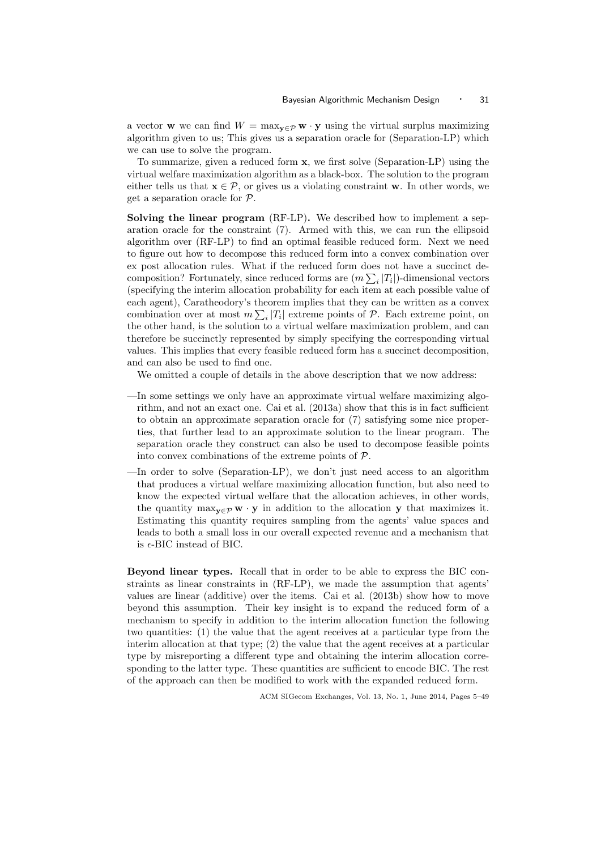a vector **w** we can find  $W = \max_{\mathbf{y} \in \mathcal{P}} \mathbf{w} \cdot \mathbf{y}$  using the virtual surplus maximizing algorithm given to us; This gives us a separation oracle for (Separation-LP) which we can use to solve the program.

To summarize, given a reduced form x, we first solve (Separation-LP) using the virtual welfare maximization algorithm as a black-box. The solution to the program either tells us that  $\mathbf{x} \in \mathcal{P}$ , or gives us a violating constraint **w**. In other words, we get a separation oracle for P.

Solving the linear program (RF-LP). We described how to implement a separation oracle for the constraint (7). Armed with this, we can run the ellipsoid algorithm over (RF-LP) to find an optimal feasible reduced form. Next we need to figure out how to decompose this reduced form into a convex combination over ex post allocation rules. What if the reduced form does not have a succinct decomposition? Fortunately, since reduced forms are  $(m \sum_i |T_i|)$ -dimensional vectors (specifying the interim allocation probability for each item at each possible value of each agent), Caratheodory's theorem implies that they can be written as a convex combination over at most  $m \sum_i |T_i|$  extreme points of  $P$ . Each extreme point, on the other hand, is the solution to a virtual welfare maximization problem, and can therefore be succinctly represented by simply specifying the corresponding virtual values. This implies that every feasible reduced form has a succinct decomposition, and can also be used to find one.

We omitted a couple of details in the above description that we now address:

- —In some settings we only have an approximate virtual welfare maximizing algorithm, and not an exact one. Cai et al. (2013a) show that this is in fact sufficient to obtain an approximate separation oracle for (7) satisfying some nice properties, that further lead to an approximate solution to the linear program. The separation oracle they construct can also be used to decompose feasible points into convex combinations of the extreme points of  $P$ .
- —In order to solve (Separation-LP), we don't just need access to an algorithm that produces a virtual welfare maximizing allocation function, but also need to know the expected virtual welfare that the allocation achieves, in other words, the quantity  $\max_{\mathbf{v} \in \mathcal{P}} \mathbf{w} \cdot \mathbf{y}$  in addition to the allocation y that maximizes it. Estimating this quantity requires sampling from the agents' value spaces and leads to both a small loss in our overall expected revenue and a mechanism that is  $\epsilon$ -BIC instead of BIC.

Beyond linear types. Recall that in order to be able to express the BIC constraints as linear constraints in (RF-LP), we made the assumption that agents' values are linear (additive) over the items. Cai et al. (2013b) show how to move beyond this assumption. Their key insight is to expand the reduced form of a mechanism to specify in addition to the interim allocation function the following two quantities: (1) the value that the agent receives at a particular type from the interim allocation at that type; (2) the value that the agent receives at a particular type by misreporting a different type and obtaining the interim allocation corresponding to the latter type. These quantities are sufficient to encode BIC. The rest of the approach can then be modified to work with the expanded reduced form.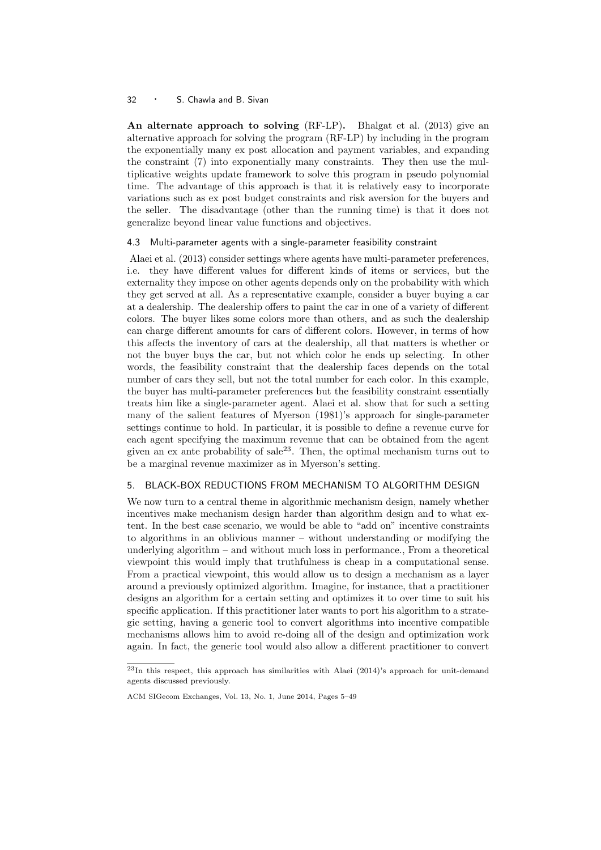An alternate approach to solving (RF-LP). Bhalgat et al. (2013) give an alternative approach for solving the program (RF-LP) by including in the program the exponentially many ex post allocation and payment variables, and expanding the constraint (7) into exponentially many constraints. They then use the multiplicative weights update framework to solve this program in pseudo polynomial time. The advantage of this approach is that it is relatively easy to incorporate variations such as ex post budget constraints and risk aversion for the buyers and the seller. The disadvantage (other than the running time) is that it does not generalize beyond linear value functions and objectives.

#### 4.3 Multi-parameter agents with a single-parameter feasibility constraint

Alaei et al. (2013) consider settings where agents have multi-parameter preferences, i.e. they have different values for different kinds of items or services, but the externality they impose on other agents depends only on the probability with which they get served at all. As a representative example, consider a buyer buying a car at a dealership. The dealership offers to paint the car in one of a variety of different colors. The buyer likes some colors more than others, and as such the dealership can charge different amounts for cars of different colors. However, in terms of how this affects the inventory of cars at the dealership, all that matters is whether or not the buyer buys the car, but not which color he ends up selecting. In other words, the feasibility constraint that the dealership faces depends on the total number of cars they sell, but not the total number for each color. In this example, the buyer has multi-parameter preferences but the feasibility constraint essentially treats him like a single-parameter agent. Alaei et al. show that for such a setting many of the salient features of Myerson (1981)'s approach for single-parameter settings continue to hold. In particular, it is possible to define a revenue curve for each agent specifying the maximum revenue that can be obtained from the agent given an ex ante probability of sale<sup>23</sup>. Then, the optimal mechanism turns out to be a marginal revenue maximizer as in Myerson's setting.

# 5. BLACK-BOX REDUCTIONS FROM MECHANISM TO ALGORITHM DESIGN

We now turn to a central theme in algorithmic mechanism design, namely whether incentives make mechanism design harder than algorithm design and to what extent. In the best case scenario, we would be able to "add on" incentive constraints to algorithms in an oblivious manner – without understanding or modifying the underlying algorithm – and without much loss in performance., From a theoretical viewpoint this would imply that truthfulness is cheap in a computational sense. From a practical viewpoint, this would allow us to design a mechanism as a layer around a previously optimized algorithm. Imagine, for instance, that a practitioner designs an algorithm for a certain setting and optimizes it to over time to suit his specific application. If this practitioner later wants to port his algorithm to a strategic setting, having a generic tool to convert algorithms into incentive compatible mechanisms allows him to avoid re-doing all of the design and optimization work again. In fact, the generic tool would also allow a different practitioner to convert

 $23$ In this respect, this approach has similarities with Alaei (2014)'s approach for unit-demand agents discussed previously.

ACM SIGecom Exchanges, Vol. 13, No. 1, June 2014, Pages 5–49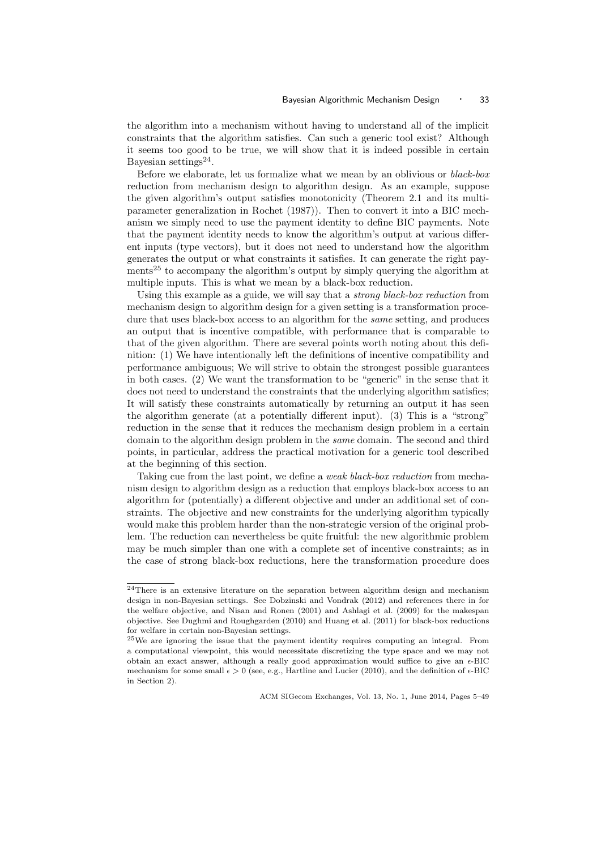the algorithm into a mechanism without having to understand all of the implicit constraints that the algorithm satisfies. Can such a generic tool exist? Although it seems too good to be true, we will show that it is indeed possible in certain Bayesian settings $^{24}$ .

Before we elaborate, let us formalize what we mean by an oblivious or black-box reduction from mechanism design to algorithm design. As an example, suppose the given algorithm's output satisfies monotonicity (Theorem 2.1 and its multiparameter generalization in Rochet (1987)). Then to convert it into a BIC mechanism we simply need to use the payment identity to define BIC payments. Note that the payment identity needs to know the algorithm's output at various different inputs (type vectors), but it does not need to understand how the algorithm generates the output or what constraints it satisfies. It can generate the right payments<sup>25</sup> to accompany the algorithm's output by simply querying the algorithm at multiple inputs. This is what we mean by a black-box reduction.

Using this example as a guide, we will say that a *strong black-box reduction* from mechanism design to algorithm design for a given setting is a transformation procedure that uses black-box access to an algorithm for the same setting, and produces an output that is incentive compatible, with performance that is comparable to that of the given algorithm. There are several points worth noting about this definition: (1) We have intentionally left the definitions of incentive compatibility and performance ambiguous; We will strive to obtain the strongest possible guarantees in both cases. (2) We want the transformation to be "generic" in the sense that it does not need to understand the constraints that the underlying algorithm satisfies; It will satisfy these constraints automatically by returning an output it has seen the algorithm generate (at a potentially different input). (3) This is a "strong" reduction in the sense that it reduces the mechanism design problem in a certain domain to the algorithm design problem in the same domain. The second and third points, in particular, address the practical motivation for a generic tool described at the beginning of this section.

Taking cue from the last point, we define a *weak black-box reduction* from mechanism design to algorithm design as a reduction that employs black-box access to an algorithm for (potentially) a different objective and under an additional set of constraints. The objective and new constraints for the underlying algorithm typically would make this problem harder than the non-strategic version of the original problem. The reduction can nevertheless be quite fruitful: the new algorithmic problem may be much simpler than one with a complete set of incentive constraints; as in the case of strong black-box reductions, here the transformation procedure does

<sup>&</sup>lt;sup>24</sup>There is an extensive literature on the separation between algorithm design and mechanism design in non-Bayesian settings. See Dobzinski and Vondrak (2012) and references there in for the welfare objective, and Nisan and Ronen (2001) and Ashlagi et al. (2009) for the makespan objective. See Dughmi and Roughgarden (2010) and Huang et al. (2011) for black-box reductions for welfare in certain non-Bayesian settings.

<sup>25</sup>We are ignoring the issue that the payment identity requires computing an integral. From a computational viewpoint, this would necessitate discretizing the type space and we may not obtain an exact answer, although a really good approximation would suffice to give an  $\epsilon$ -BIC mechanism for some small  $\epsilon > 0$  (see, e.g., Hartline and Lucier (2010), and the definition of  $\epsilon$ -BIC in Section 2).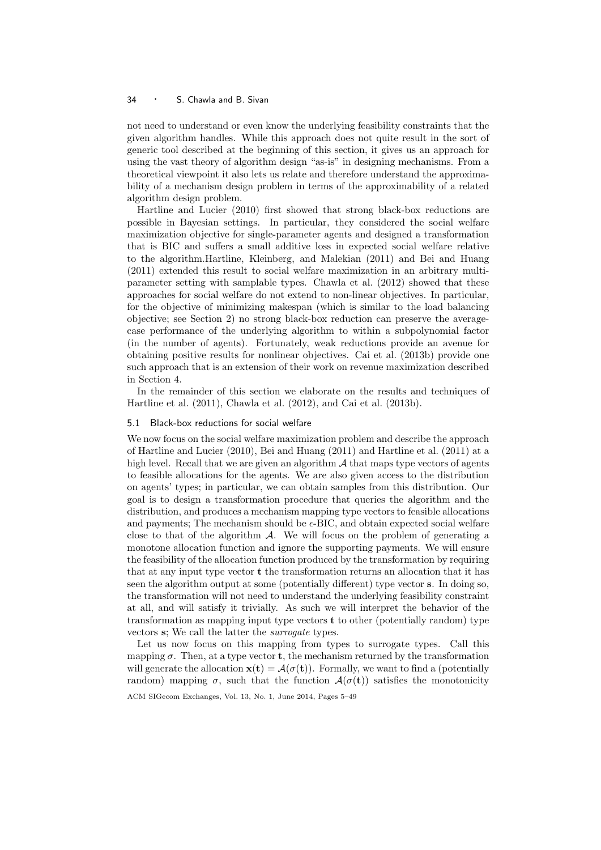not need to understand or even know the underlying feasibility constraints that the given algorithm handles. While this approach does not quite result in the sort of generic tool described at the beginning of this section, it gives us an approach for using the vast theory of algorithm design "as-is" in designing mechanisms. From a theoretical viewpoint it also lets us relate and therefore understand the approximability of a mechanism design problem in terms of the approximability of a related algorithm design problem.

Hartline and Lucier (2010) first showed that strong black-box reductions are possible in Bayesian settings. In particular, they considered the social welfare maximization objective for single-parameter agents and designed a transformation that is BIC and suffers a small additive loss in expected social welfare relative to the algorithm.Hartline, Kleinberg, and Malekian (2011) and Bei and Huang (2011) extended this result to social welfare maximization in an arbitrary multiparameter setting with samplable types. Chawla et al. (2012) showed that these approaches for social welfare do not extend to non-linear objectives. In particular, for the objective of minimizing makespan (which is similar to the load balancing objective; see Section 2) no strong black-box reduction can preserve the averagecase performance of the underlying algorithm to within a subpolynomial factor (in the number of agents). Fortunately, weak reductions provide an avenue for obtaining positive results for nonlinear objectives. Cai et al. (2013b) provide one such approach that is an extension of their work on revenue maximization described in Section 4.

In the remainder of this section we elaborate on the results and techniques of Hartline et al. (2011), Chawla et al. (2012), and Cai et al. (2013b).

#### 5.1 Black-box reductions for social welfare

We now focus on the social welfare maximization problem and describe the approach of Hartline and Lucier (2010), Bei and Huang (2011) and Hartline et al. (2011) at a high level. Recall that we are given an algorithm  $A$  that maps type vectors of agents to feasible allocations for the agents. We are also given access to the distribution on agents' types; in particular, we can obtain samples from this distribution. Our goal is to design a transformation procedure that queries the algorithm and the distribution, and produces a mechanism mapping type vectors to feasible allocations and payments; The mechanism should be  $\epsilon$ -BIC, and obtain expected social welfare close to that of the algorithm  $A$ . We will focus on the problem of generating a monotone allocation function and ignore the supporting payments. We will ensure the feasibility of the allocation function produced by the transformation by requiring that at any input type vector t the transformation returns an allocation that it has seen the algorithm output at some (potentially different) type vector s. In doing so, the transformation will not need to understand the underlying feasibility constraint at all, and will satisfy it trivially. As such we will interpret the behavior of the transformation as mapping input type vectors  $\bf{t}$  to other (potentially random) type vectors s; We call the latter the surrogate types.

Let us now focus on this mapping from types to surrogate types. Call this mapping  $\sigma$ . Then, at a type vector **t**, the mechanism returned by the transformation will generate the allocation  $\mathbf{x}(t) = \mathcal{A}(\sigma(t))$ . Formally, we want to find a (potentially random) mapping  $\sigma$ , such that the function  $\mathcal{A}(\sigma(\mathbf{t}))$  satisfies the monotonicity

ACM SIGecom Exchanges, Vol. 13, No. 1, June 2014, Pages 5–49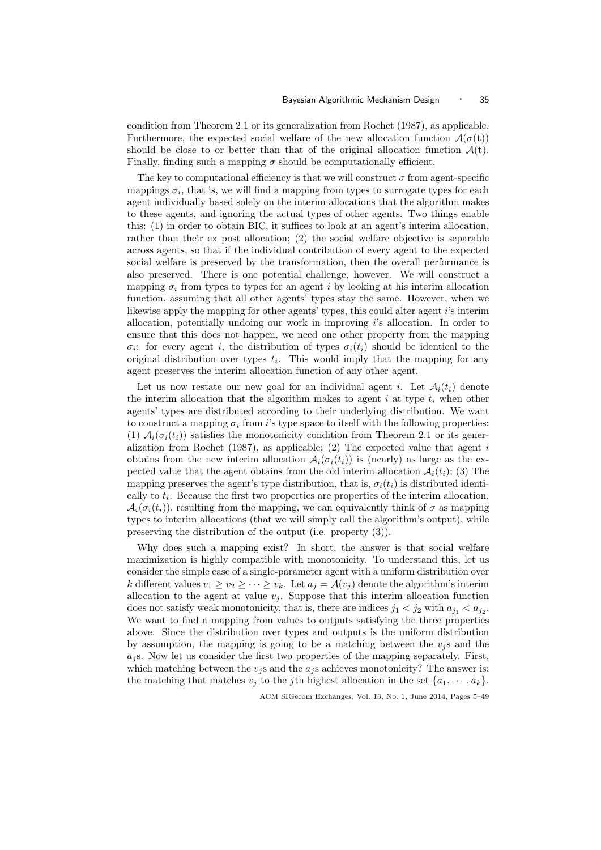condition from Theorem 2.1 or its generalization from Rochet (1987), as applicable. Furthermore, the expected social welfare of the new allocation function  $\mathcal{A}(\sigma(t))$ should be close to or better than that of the original allocation function  $\mathcal{A}(t)$ . Finally, finding such a mapping  $\sigma$  should be computationally efficient.

The key to computational efficiency is that we will construct  $\sigma$  from agent-specific mappings  $\sigma_i$ , that is, we will find a mapping from types to surrogate types for each agent individually based solely on the interim allocations that the algorithm makes to these agents, and ignoring the actual types of other agents. Two things enable this: (1) in order to obtain BIC, it suffices to look at an agent's interim allocation, rather than their ex post allocation; (2) the social welfare objective is separable across agents, so that if the individual contribution of every agent to the expected social welfare is preserved by the transformation, then the overall performance is also preserved. There is one potential challenge, however. We will construct a mapping  $\sigma_i$  from types to types for an agent i by looking at his interim allocation function, assuming that all other agents' types stay the same. However, when we likewise apply the mapping for other agents' types, this could alter agent  $i$ 's interim allocation, potentially undoing our work in improving i's allocation. In order to ensure that this does not happen, we need one other property from the mapping  $\sigma_i$ : for every agent i, the distribution of types  $\sigma_i(t_i)$  should be identical to the original distribution over types  $t_i$ . This would imply that the mapping for any agent preserves the interim allocation function of any other agent.

Let us now restate our new goal for an individual agent i. Let  $\mathcal{A}_i(t_i)$  denote the interim allocation that the algorithm makes to agent i at type  $t_i$  when other agents' types are distributed according to their underlying distribution. We want to construct a mapping  $\sigma_i$  from i's type space to itself with the following properties: (1)  $A_i(\sigma_i(t_i))$  satisfies the monotonicity condition from Theorem 2.1 or its generalization from Rochet (1987), as applicable; (2) The expected value that agent  $i$ obtains from the new interim allocation  $\mathcal{A}_i(\sigma_i(t_i))$  is (nearly) as large as the expected value that the agent obtains from the old interim allocation  $A_i(t_i);$  (3) The mapping preserves the agent's type distribution, that is,  $\sigma_i(t_i)$  is distributed identically to  $t_i$ . Because the first two properties are properties of the interim allocation,  $\mathcal{A}_i(\sigma_i(t_i))$ , resulting from the mapping, we can equivalently think of  $\sigma$  as mapping types to interim allocations (that we will simply call the algorithm's output), while preserving the distribution of the output (i.e. property (3)).

Why does such a mapping exist? In short, the answer is that social welfare maximization is highly compatible with monotonicity. To understand this, let us consider the simple case of a single-parameter agent with a uniform distribution over k different values  $v_1 \ge v_2 \ge \cdots \ge v_k$ . Let  $a_j = \mathcal{A}(v_j)$  denote the algorithm's interim allocation to the agent at value  $v_j$ . Suppose that this interim allocation function does not satisfy weak monotonicity, that is, there are indices  $j_1 < j_2$  with  $a_{j_1} < a_{j_2}$ . We want to find a mapping from values to outputs satisfying the three properties above. Since the distribution over types and outputs is the uniform distribution by assumption, the mapping is going to be a matching between the  $v_i$  s and the  $a_i$ s. Now let us consider the first two properties of the mapping separately. First, which matching between the  $v_i$ s and the  $a_i$ s achieves monotonicity? The answer is: the matching that matches  $v_j$  to the jth highest allocation in the set  $\{a_1, \dots, a_k\}$ .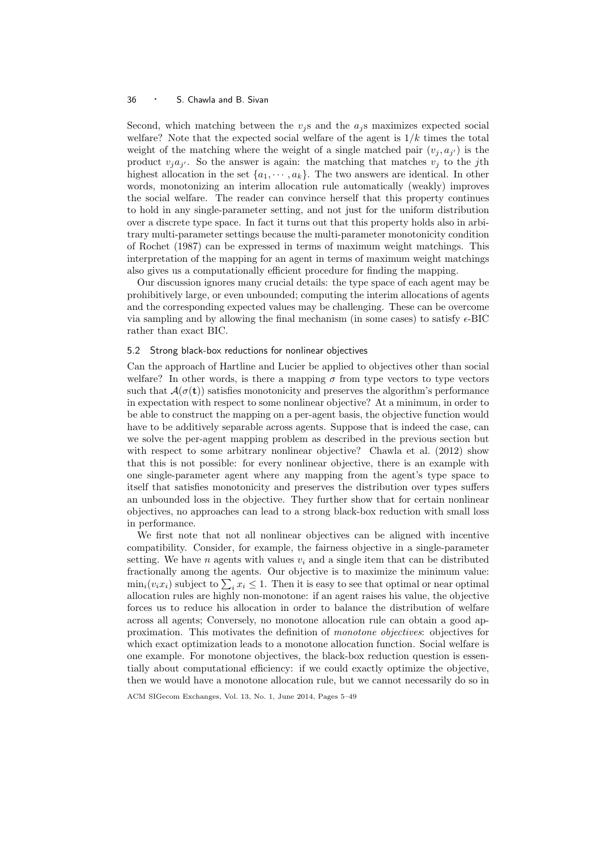Second, which matching between the  $v_j$ s and the  $a_j$ s maximizes expected social welfare? Note that the expected social welfare of the agent is  $1/k$  times the total weight of the matching where the weight of a single matched pair  $(v_j, a_{j'})$  is the product  $v_j a_{j'}$ . So the answer is again: the matching that matches  $v_j$  to the jth highest allocation in the set  $\{a_1, \dots, a_k\}$ . The two answers are identical. In other words, monotonizing an interim allocation rule automatically (weakly) improves the social welfare. The reader can convince herself that this property continues to hold in any single-parameter setting, and not just for the uniform distribution over a discrete type space. In fact it turns out that this property holds also in arbitrary multi-parameter settings because the multi-parameter monotonicity condition of Rochet (1987) can be expressed in terms of maximum weight matchings. This interpretation of the mapping for an agent in terms of maximum weight matchings also gives us a computationally efficient procedure for finding the mapping.

Our discussion ignores many crucial details: the type space of each agent may be prohibitively large, or even unbounded; computing the interim allocations of agents and the corresponding expected values may be challenging. These can be overcome via sampling and by allowing the final mechanism (in some cases) to satisfy  $\epsilon$ -BIC rather than exact BIC.

#### 5.2 Strong black-box reductions for nonlinear objectives

Can the approach of Hartline and Lucier be applied to objectives other than social welfare? In other words, is there a mapping  $\sigma$  from type vectors to type vectors such that  $A(\sigma(\mathbf{t}))$  satisfies monotonicity and preserves the algorithm's performance in expectation with respect to some nonlinear objective? At a minimum, in order to be able to construct the mapping on a per-agent basis, the objective function would have to be additively separable across agents. Suppose that is indeed the case, can we solve the per-agent mapping problem as described in the previous section but with respect to some arbitrary nonlinear objective? Chawla et al. (2012) show that this is not possible: for every nonlinear objective, there is an example with one single-parameter agent where any mapping from the agent's type space to itself that satisfies monotonicity and preserves the distribution over types suffers an unbounded loss in the objective. They further show that for certain nonlinear objectives, no approaches can lead to a strong black-box reduction with small loss in performance.

We first note that not all nonlinear objectives can be aligned with incentive compatibility. Consider, for example, the fairness objective in a single-parameter setting. We have n agents with values  $v_i$  and a single item that can be distributed fractionally among the agents. Our objective is to maximize the minimum value:  $\min_i(v_i x_i)$  subject to  $\sum_i x_i \leq 1$ . Then it is easy to see that optimal or near optimal allocation rules are highly non-monotone: if an agent raises his value, the objective forces us to reduce his allocation in order to balance the distribution of welfare across all agents; Conversely, no monotone allocation rule can obtain a good approximation. This motivates the definition of monotone objectives: objectives for which exact optimization leads to a monotone allocation function. Social welfare is one example. For monotone objectives, the black-box reduction question is essentially about computational efficiency: if we could exactly optimize the objective, then we would have a monotone allocation rule, but we cannot necessarily do so in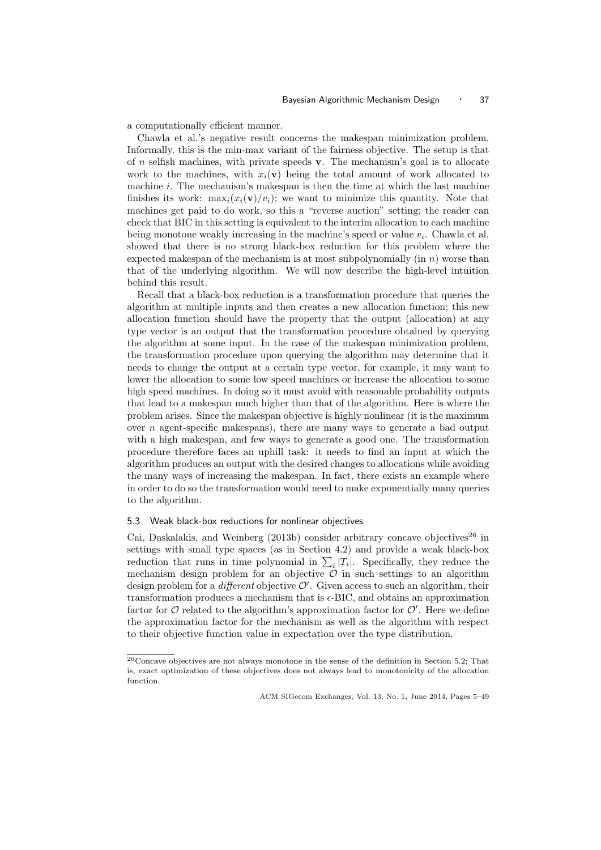a computationally efficient manner.

Chawla et al.'s negative result concerns the makespan minimization problem. Informally, this is the min-max variant of the fairness objective. The setup is that of  $n$  selfish machines, with private speeds  $v$ . The mechanism's goal is to allocate work to the machines, with  $x_i(\mathbf{v})$  being the total amount of work allocated to machine  $i$ . The mechanism's makespan is then the time at which the last machine finishes its work:  $\max_i(x_i(\mathbf{v})/v_i)$ ; we want to minimize this quantity. Note that machines get paid to do work, so this a "reverse auction" setting; the reader can check that BIC in this setting is equivalent to the interim allocation to each machine being monotone weakly increasing in the machine's speed or value  $v_i$ . Chawla et al. showed that there is no strong black-box reduction for this problem where the expected makespan of the mechanism is at most subpolynomially (in  $n$ ) worse than that of the underlying algorithm. We will now describe the high-level intuition behind this result.

Recall that a black-box reduction is a transformation procedure that queries the algorithm at multiple inputs and then creates a new allocation function; this new allocation function should have the property that the output (allocation) at any type vector is an output that the transformation procedure obtained by querying the algorithm at some input. In the case of the makespan minimization problem, the transformation procedure upon querying the algorithm may determine that it needs to change the output at a certain type vector, for example, it may want to lower the allocation to some low speed machines or increase the allocation to some high speed machines. In doing so it must avoid with reasonable probability outputs that lead to a makespan much higher than that of the algorithm. Here is where the problem arises. Since the makespan objective is highly nonlinear (it is the maximum over  $n$  agent-specific makespans), there are many ways to generate a bad output with a high makespan, and few ways to generate a good one. The transformation procedure therefore faces an uphill task: it needs to find an input at which the algorithm produces an output with the desired changes to allocations while avoiding the many ways of increasing the makespan. In fact, there exists an example where in order to do so the transformation would need to make exponentially many queries to the algorithm.

## 5.3 Weak black-box reductions for nonlinear objectives

Cai, Daskalakis, and Weinberg  $(2013b)$  consider arbitrary concave objectives<sup>26</sup> in settings with small type spaces (as in Section 4.2) and provide a weak black-box reduction that runs in time polynomial in  $\sum_i |T_i|$ . Specifically, they reduce the mechanism design problem for an objective  $\mathcal O$  in such settings to an algorithm design problem for a *different* objective  $\mathcal{O}'$ . Given access to such an algorithm, their transformation produces a mechanism that is  $\epsilon$ -BIC, and obtains an approximation factor for  $\mathcal O$  related to the algorithm's approximation factor for  $\mathcal O'$ . Here we define the approximation factor for the mechanism as well as the algorithm with respect to their objective function value in expectation over the type distribution.

<sup>26</sup>Concave objectives are not always monotone in the sense of the definition in Section 5.2; That is, exact optimization of these objectives does not always lead to monotonicity of the allocation function.

ACM SIGecom Exchanges, Vol. 13, No. 1, June 2014, Pages 5–49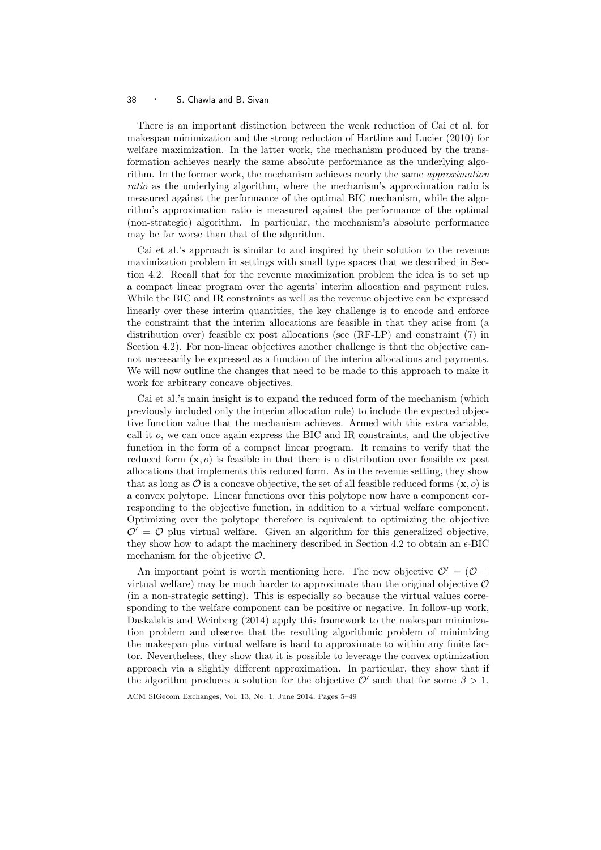There is an important distinction between the weak reduction of Cai et al. for makespan minimization and the strong reduction of Hartline and Lucier (2010) for welfare maximization. In the latter work, the mechanism produced by the transformation achieves nearly the same absolute performance as the underlying algorithm. In the former work, the mechanism achieves nearly the same approximation ratio as the underlying algorithm, where the mechanism's approximation ratio is measured against the performance of the optimal BIC mechanism, while the algorithm's approximation ratio is measured against the performance of the optimal (non-strategic) algorithm. In particular, the mechanism's absolute performance may be far worse than that of the algorithm.

Cai et al.'s approach is similar to and inspired by their solution to the revenue maximization problem in settings with small type spaces that we described in Section 4.2. Recall that for the revenue maximization problem the idea is to set up a compact linear program over the agents' interim allocation and payment rules. While the BIC and IR constraints as well as the revenue objective can be expressed linearly over these interim quantities, the key challenge is to encode and enforce the constraint that the interim allocations are feasible in that they arise from (a distribution over) feasible ex post allocations (see (RF-LP) and constraint (7) in Section 4.2). For non-linear objectives another challenge is that the objective cannot necessarily be expressed as a function of the interim allocations and payments. We will now outline the changes that need to be made to this approach to make it work for arbitrary concave objectives.

Cai et al.'s main insight is to expand the reduced form of the mechanism (which previously included only the interim allocation rule) to include the expected objective function value that the mechanism achieves. Armed with this extra variable, call it o, we can once again express the BIC and IR constraints, and the objective function in the form of a compact linear program. It remains to verify that the reduced form  $(x, o)$  is feasible in that there is a distribution over feasible ex post allocations that implements this reduced form. As in the revenue setting, they show that as long as  $\mathcal O$  is a concave objective, the set of all feasible reduced forms  $(\mathbf x, o)$  is a convex polytope. Linear functions over this polytope now have a component corresponding to the objective function, in addition to a virtual welfare component. Optimizing over the polytope therefore is equivalent to optimizing the objective  $\mathcal{O}' = \mathcal{O}$  plus virtual welfare. Given an algorithm for this generalized objective, they show how to adapt the machinery described in Section 4.2 to obtain an  $\epsilon$ -BIC mechanism for the objective  $\mathcal{O}$ .

An important point is worth mentioning here. The new objective  $\mathcal{O}' = (\mathcal{O} +$ virtual welfare) may be much harder to approximate than the original objective  $\mathcal O$ (in a non-strategic setting). This is especially so because the virtual values corresponding to the welfare component can be positive or negative. In follow-up work, Daskalakis and Weinberg (2014) apply this framework to the makespan minimization problem and observe that the resulting algorithmic problem of minimizing the makespan plus virtual welfare is hard to approximate to within any finite factor. Nevertheless, they show that it is possible to leverage the convex optimization approach via a slightly different approximation. In particular, they show that if the algorithm produces a solution for the objective  $\mathcal{O}'$  such that for some  $\beta > 1$ ,

ACM SIGecom Exchanges, Vol. 13, No. 1, June 2014, Pages 5–49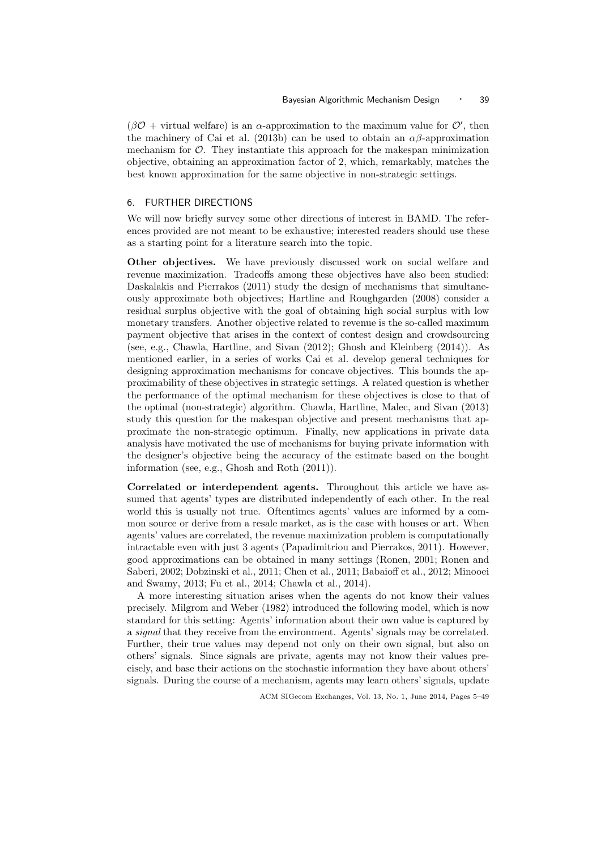$(\beta \mathcal{O} + \text{virtual welfare})$  is an  $\alpha$ -approximation to the maximum value for  $\mathcal{O}'$ , then the machinery of Cai et al. (2013b) can be used to obtain an  $\alpha\beta$ -approximation mechanism for  $\mathcal{O}$ . They instantiate this approach for the makespan minimization objective, obtaining an approximation factor of 2, which, remarkably, matches the best known approximation for the same objective in non-strategic settings.

#### 6. FURTHER DIRECTIONS

We will now briefly survey some other directions of interest in BAMD. The references provided are not meant to be exhaustive; interested readers should use these as a starting point for a literature search into the topic.

Other objectives. We have previously discussed work on social welfare and revenue maximization. Tradeoffs among these objectives have also been studied: Daskalakis and Pierrakos (2011) study the design of mechanisms that simultaneously approximate both objectives; Hartline and Roughgarden (2008) consider a residual surplus objective with the goal of obtaining high social surplus with low monetary transfers. Another objective related to revenue is the so-called maximum payment objective that arises in the context of contest design and crowdsourcing (see, e.g., Chawla, Hartline, and Sivan (2012); Ghosh and Kleinberg (2014)). As mentioned earlier, in a series of works Cai et al. develop general techniques for designing approximation mechanisms for concave objectives. This bounds the approximability of these objectives in strategic settings. A related question is whether the performance of the optimal mechanism for these objectives is close to that of the optimal (non-strategic) algorithm. Chawla, Hartline, Malec, and Sivan (2013) study this question for the makespan objective and present mechanisms that approximate the non-strategic optimum. Finally, new applications in private data analysis have motivated the use of mechanisms for buying private information with the designer's objective being the accuracy of the estimate based on the bought information (see, e.g., Ghosh and Roth (2011)).

Correlated or interdependent agents. Throughout this article we have assumed that agents' types are distributed independently of each other. In the real world this is usually not true. Oftentimes agents' values are informed by a common source or derive from a resale market, as is the case with houses or art. When agents' values are correlated, the revenue maximization problem is computationally intractable even with just 3 agents (Papadimitriou and Pierrakos, 2011). However, good approximations can be obtained in many settings (Ronen, 2001; Ronen and Saberi, 2002; Dobzinski et al., 2011; Chen et al., 2011; Babaioff et al., 2012; Minooei and Swamy, 2013; Fu et al., 2014; Chawla et al., 2014).

A more interesting situation arises when the agents do not know their values precisely. Milgrom and Weber (1982) introduced the following model, which is now standard for this setting: Agents' information about their own value is captured by a signal that they receive from the environment. Agents' signals may be correlated. Further, their true values may depend not only on their own signal, but also on others' signals. Since signals are private, agents may not know their values precisely, and base their actions on the stochastic information they have about others' signals. During the course of a mechanism, agents may learn others' signals, update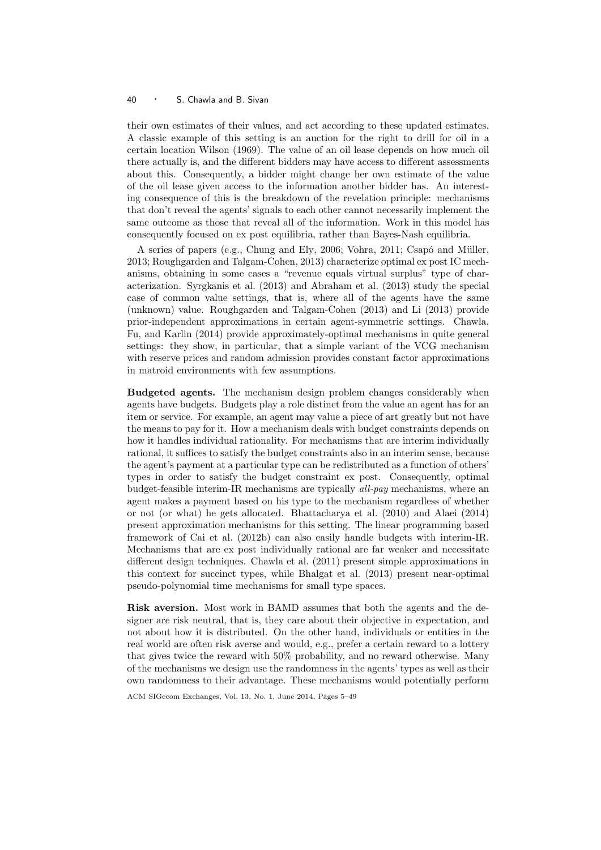their own estimates of their values, and act according to these updated estimates. A classic example of this setting is an auction for the right to drill for oil in a certain location Wilson (1969). The value of an oil lease depends on how much oil there actually is, and the different bidders may have access to different assessments about this. Consequently, a bidder might change her own estimate of the value of the oil lease given access to the information another bidder has. An interesting consequence of this is the breakdown of the revelation principle: mechanisms that don't reveal the agents' signals to each other cannot necessarily implement the same outcome as those that reveal all of the information. Work in this model has consequently focused on ex post equilibria, rather than Bayes-Nash equilibria.

A series of papers (e.g., Chung and Ely, 2006; Vohra, 2011; Csapó and Müller, 2013; Roughgarden and Talgam-Cohen, 2013) characterize optimal ex post IC mechanisms, obtaining in some cases a "revenue equals virtual surplus" type of characterization. Syrgkanis et al. (2013) and Abraham et al. (2013) study the special case of common value settings, that is, where all of the agents have the same (unknown) value. Roughgarden and Talgam-Cohen (2013) and Li (2013) provide prior-independent approximations in certain agent-symmetric settings. Chawla, Fu, and Karlin (2014) provide approximately-optimal mechanisms in quite general settings: they show, in particular, that a simple variant of the VCG mechanism with reserve prices and random admission provides constant factor approximations in matroid environments with few assumptions.

Budgeted agents. The mechanism design problem changes considerably when agents have budgets. Budgets play a role distinct from the value an agent has for an item or service. For example, an agent may value a piece of art greatly but not have the means to pay for it. How a mechanism deals with budget constraints depends on how it handles individual rationality. For mechanisms that are interim individually rational, it suffices to satisfy the budget constraints also in an interim sense, because the agent's payment at a particular type can be redistributed as a function of others' types in order to satisfy the budget constraint ex post. Consequently, optimal budget-feasible interim-IR mechanisms are typically all-pay mechanisms, where an agent makes a payment based on his type to the mechanism regardless of whether or not (or what) he gets allocated. Bhattacharya et al. (2010) and Alaei (2014) present approximation mechanisms for this setting. The linear programming based framework of Cai et al. (2012b) can also easily handle budgets with interim-IR. Mechanisms that are ex post individually rational are far weaker and necessitate different design techniques. Chawla et al. (2011) present simple approximations in this context for succinct types, while Bhalgat et al. (2013) present near-optimal pseudo-polynomial time mechanisms for small type spaces.

Risk aversion. Most work in BAMD assumes that both the agents and the designer are risk neutral, that is, they care about their objective in expectation, and not about how it is distributed. On the other hand, individuals or entities in the real world are often risk averse and would, e.g., prefer a certain reward to a lottery that gives twice the reward with 50% probability, and no reward otherwise. Many of the mechanisms we design use the randomness in the agents' types as well as their own randomness to their advantage. These mechanisms would potentially perform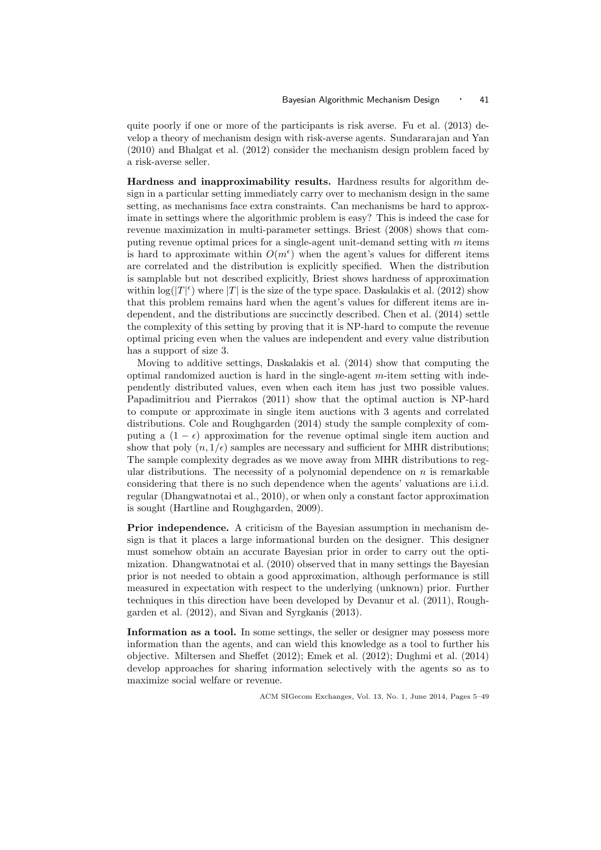quite poorly if one or more of the participants is risk averse. Fu et al. (2013) develop a theory of mechanism design with risk-averse agents. Sundararajan and Yan (2010) and Bhalgat et al. (2012) consider the mechanism design problem faced by a risk-averse seller.

Hardness and inapproximability results. Hardness results for algorithm design in a particular setting immediately carry over to mechanism design in the same setting, as mechanisms face extra constraints. Can mechanisms be hard to approximate in settings where the algorithmic problem is easy? This is indeed the case for revenue maximization in multi-parameter settings. Briest (2008) shows that computing revenue optimal prices for a single-agent unit-demand setting with m items is hard to approximate within  $O(m^{\epsilon})$  when the agent's values for different items are correlated and the distribution is explicitly specified. When the distribution is samplable but not described explicitly, Briest shows hardness of approximation within  $\log(|T|^{\epsilon})$  where  $|T|$  is the size of the type space. Daskalakis et al. (2012) show that this problem remains hard when the agent's values for different items are independent, and the distributions are succinctly described. Chen et al. (2014) settle the complexity of this setting by proving that it is NP-hard to compute the revenue optimal pricing even when the values are independent and every value distribution has a support of size 3.

Moving to additive settings, Daskalakis et al. (2014) show that computing the optimal randomized auction is hard in the single-agent  $m$ -item setting with independently distributed values, even when each item has just two possible values. Papadimitriou and Pierrakos (2011) show that the optimal auction is NP-hard to compute or approximate in single item auctions with 3 agents and correlated distributions. Cole and Roughgarden (2014) study the sample complexity of computing a  $(1 - \epsilon)$  approximation for the revenue optimal single item auction and show that poly  $(n, 1/\epsilon)$  samples are necessary and sufficient for MHR distributions; The sample complexity degrades as we move away from MHR distributions to regular distributions. The necessity of a polynomial dependence on  $n$  is remarkable considering that there is no such dependence when the agents' valuations are i.i.d. regular (Dhangwatnotai et al., 2010), or when only a constant factor approximation is sought (Hartline and Roughgarden, 2009).

Prior independence. A criticism of the Bayesian assumption in mechanism design is that it places a large informational burden on the designer. This designer must somehow obtain an accurate Bayesian prior in order to carry out the optimization. Dhangwatnotai et al. (2010) observed that in many settings the Bayesian prior is not needed to obtain a good approximation, although performance is still measured in expectation with respect to the underlying (unknown) prior. Further techniques in this direction have been developed by Devanur et al. (2011), Roughgarden et al. (2012), and Sivan and Syrgkanis (2013).

Information as a tool. In some settings, the seller or designer may possess more information than the agents, and can wield this knowledge as a tool to further his objective. Miltersen and Sheffet (2012); Emek et al. (2012); Dughmi et al. (2014) develop approaches for sharing information selectively with the agents so as to maximize social welfare or revenue.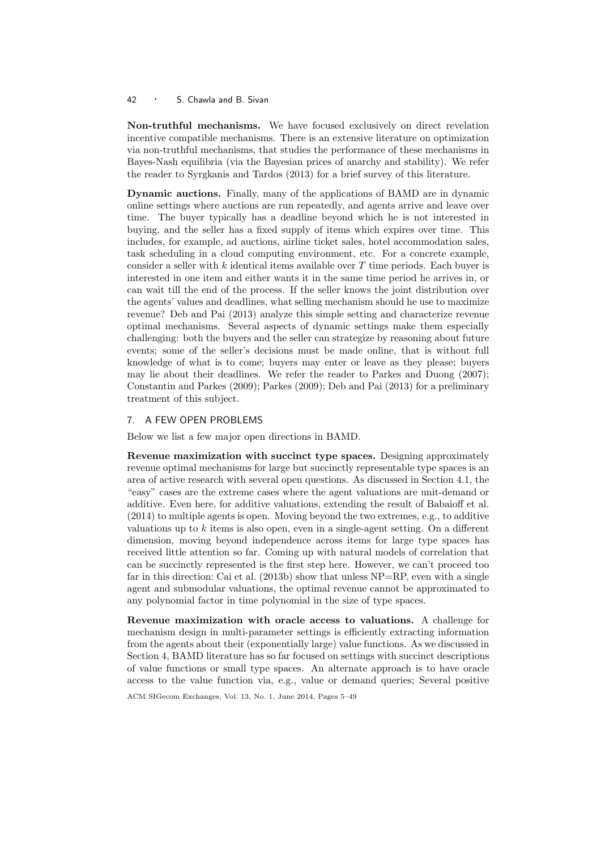Non-truthful mechanisms. We have focused exclusively on direct revelation incentive compatible mechanisms. There is an extensive literature on optimization via non-truthful mechanisms, that studies the performance of these mechanisms in Bayes-Nash equilibria (via the Bayesian prices of anarchy and stability). We refer the reader to Syrgkanis and Tardos (2013) for a brief survey of this literature.

Dynamic auctions. Finally, many of the applications of BAMD are in dynamic online settings where auctions are run repeatedly, and agents arrive and leave over time. The buyer typically has a deadline beyond which he is not interested in buying, and the seller has a fixed supply of items which expires over time. This includes, for example, ad auctions, airline ticket sales, hotel accommodation sales, task scheduling in a cloud computing environment, etc. For a concrete example, consider a seller with  $k$  identical items available over  $T$  time periods. Each buyer is interested in one item and either wants it in the same time period he arrives in, or can wait till the end of the process. If the seller knows the joint distribution over the agents' values and deadlines, what selling mechanism should he use to maximize revenue? Deb and Pai (2013) analyze this simple setting and characterize revenue optimal mechanisms. Several aspects of dynamic settings make them especially challenging: both the buyers and the seller can strategize by reasoning about future events; some of the seller's decisions must be made online, that is without full knowledge of what is to come; buyers may enter or leave as they please; buyers may lie about their deadlines. We refer the reader to Parkes and Duong (2007); Constantin and Parkes (2009); Parkes (2009); Deb and Pai (2013) for a preliminary treatment of this subject.

# 7. A FEW OPEN PROBLEMS

Below we list a few major open directions in BAMD.

Revenue maximization with succinct type spaces. Designing approximately revenue optimal mechanisms for large but succinctly representable type spaces is an area of active research with several open questions. As discussed in Section 4.1, the "easy" cases are the extreme cases where the agent valuations are unit-demand or additive. Even here, for additive valuations, extending the result of Babaioff et al. (2014) to multiple agents is open. Moving beyond the two extremes, e.g., to additive valuations up to  $k$  items is also open, even in a single-agent setting. On a different dimension, moving beyond independence across items for large type spaces has received little attention so far. Coming up with natural models of correlation that can be succinctly represented is the first step here. However, we can't proceed too far in this direction: Cai et al. (2013b) show that unless NP=RP, even with a single agent and submodular valuations, the optimal revenue cannot be approximated to any polynomial factor in time polynomial in the size of type spaces.

Revenue maximization with oracle access to valuations. A challenge for mechanism design in multi-parameter settings is efficiently extracting information from the agents about their (exponentially large) value functions. As we discussed in Section 4, BAMD literature has so far focused on settings with succinct descriptions of value functions or small type spaces. An alternate approach is to have oracle access to the value function via, e.g., value or demand queries; Several positive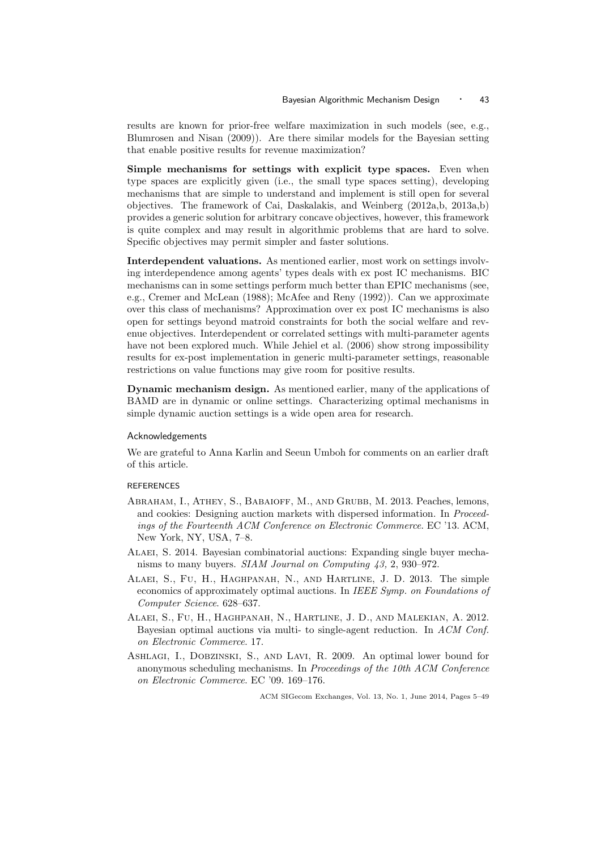results are known for prior-free welfare maximization in such models (see, e.g., Blumrosen and Nisan (2009)). Are there similar models for the Bayesian setting that enable positive results for revenue maximization?

Simple mechanisms for settings with explicit type spaces. Even when type spaces are explicitly given (i.e., the small type spaces setting), developing mechanisms that are simple to understand and implement is still open for several objectives. The framework of Cai, Daskalakis, and Weinberg (2012a,b, 2013a,b) provides a generic solution for arbitrary concave objectives, however, this framework is quite complex and may result in algorithmic problems that are hard to solve. Specific objectives may permit simpler and faster solutions.

Interdependent valuations. As mentioned earlier, most work on settings involving interdependence among agents' types deals with ex post IC mechanisms. BIC mechanisms can in some settings perform much better than EPIC mechanisms (see, e.g., Cremer and McLean (1988); McAfee and Reny (1992)). Can we approximate over this class of mechanisms? Approximation over ex post IC mechanisms is also open for settings beyond matroid constraints for both the social welfare and revenue objectives. Interdependent or correlated settings with multi-parameter agents have not been explored much. While Jehiel et al.  $(2006)$  show strong impossibility results for ex-post implementation in generic multi-parameter settings, reasonable restrictions on value functions may give room for positive results.

Dynamic mechanism design. As mentioned earlier, many of the applications of BAMD are in dynamic or online settings. Characterizing optimal mechanisms in simple dynamic auction settings is a wide open area for research.

#### Acknowledgements

We are grateful to Anna Karlin and Seeun Umboh for comments on an earlier draft of this article.

# REFERENCES

- Abraham, I., Athey, S., Babaioff, M., and Grubb, M. 2013. Peaches, lemons, and cookies: Designing auction markets with dispersed information. In Proceedings of the Fourteenth ACM Conference on Electronic Commerce. EC '13. ACM, New York, NY, USA, 7–8.
- Alaei, S. 2014. Bayesian combinatorial auctions: Expanding single buyer mechanisms to many buyers. SIAM Journal on Computing 43, 2, 930–972.
- Alaei, S., Fu, H., Haghpanah, N., and Hartline, J. D. 2013. The simple economics of approximately optimal auctions. In IEEE Symp. on Foundations of Computer Science. 628–637.
- Alaei, S., Fu, H., Haghpanah, N., Hartline, J. D., and Malekian, A. 2012. Bayesian optimal auctions via multi- to single-agent reduction. In ACM Conf. on Electronic Commerce. 17.
- Ashlagi, I., Dobzinski, S., and Lavi, R. 2009. An optimal lower bound for anonymous scheduling mechanisms. In Proceedings of the 10th ACM Conference on Electronic Commerce. EC '09. 169–176.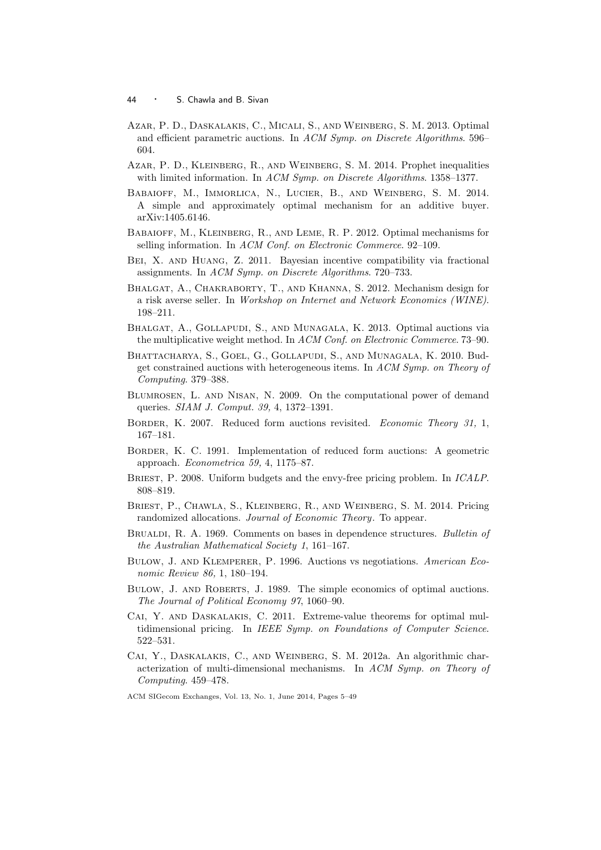- Azar, P. D., Daskalakis, C., Micali, S., and Weinberg, S. M. 2013. Optimal and efficient parametric auctions. In ACM Symp. on Discrete Algorithms. 596– 604.
- Azar, P. D., Kleinberg, R., and Weinberg, S. M. 2014. Prophet inequalities with limited information. In ACM Symp. on Discrete Algorithms. 1358–1377.
- Babaioff, M., Immorlica, N., Lucier, B., and Weinberg, S. M. 2014. A simple and approximately optimal mechanism for an additive buyer. arXiv:1405.6146.
- Babaioff, M., Kleinberg, R., and Leme, R. P. 2012. Optimal mechanisms for selling information. In ACM Conf. on Electronic Commerce. 92–109.
- Bei, X. and Huang, Z. 2011. Bayesian incentive compatibility via fractional assignments. In ACM Symp. on Discrete Algorithms. 720–733.
- Bhalgat, A., Chakraborty, T., and Khanna, S. 2012. Mechanism design for a risk averse seller. In Workshop on Internet and Network Economics (WINE). 198–211.
- Bhalgat, A., Gollapudi, S., and Munagala, K. 2013. Optimal auctions via the multiplicative weight method. In ACM Conf. on Electronic Commerce. 73–90.
- Bhattacharya, S., Goel, G., Gollapudi, S., and Munagala, K. 2010. Budget constrained auctions with heterogeneous items. In ACM Symp. on Theory of Computing. 379–388.
- Blumrosen, L. and Nisan, N. 2009. On the computational power of demand queries. SIAM J. Comput. 39, 4, 1372–1391.
- BORDER, K. 2007. Reduced form auctions revisited. *Economic Theory 31*, 1, 167–181.
- Border, K. C. 1991. Implementation of reduced form auctions: A geometric approach. Econometrica 59, 4, 1175–87.
- BRIEST, P. 2008. Uniform budgets and the envy-free pricing problem. In *ICALP*. 808–819.
- Briest, P., Chawla, S., Kleinberg, R., and Weinberg, S. M. 2014. Pricing randomized allocations. Journal of Economic Theory. To appear.
- BRUALDI, R. A. 1969. Comments on bases in dependence structures. Bulletin of the Australian Mathematical Society 1, 161–167.
- Bulow, J. and Klemperer, P. 1996. Auctions vs negotiations. American Economic Review 86, 1, 180–194.
- BULOW, J. AND ROBERTS, J. 1989. The simple economics of optimal auctions. The Journal of Political Economy 97, 1060–90.
- Cai, Y. and Daskalakis, C. 2011. Extreme-value theorems for optimal multidimensional pricing. In IEEE Symp. on Foundations of Computer Science. 522–531.
- Cai, Y., Daskalakis, C., and Weinberg, S. M. 2012a. An algorithmic characterization of multi-dimensional mechanisms. In ACM Symp. on Theory of Computing. 459–478.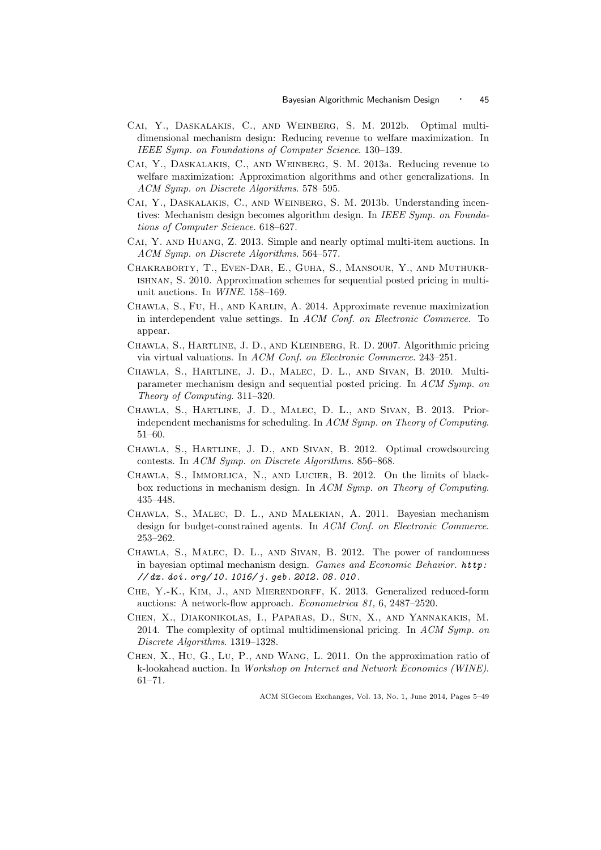- Cai, Y., Daskalakis, C., and Weinberg, S. M. 2012b. Optimal multidimensional mechanism design: Reducing revenue to welfare maximization. In IEEE Symp. on Foundations of Computer Science. 130–139.
- Cai, Y., Daskalakis, C., and Weinberg, S. M. 2013a. Reducing revenue to welfare maximization: Approximation algorithms and other generalizations. In ACM Symp. on Discrete Algorithms. 578–595.
- CAI, Y., DASKALAKIS, C., AND WEINBERG, S. M. 2013b. Understanding incentives: Mechanism design becomes algorithm design. In IEEE Symp. on Foundations of Computer Science. 618–627.
- Cai, Y. and Huang, Z. 2013. Simple and nearly optimal multi-item auctions. In ACM Symp. on Discrete Algorithms. 564–577.
- Chakraborty, T., Even-Dar, E., Guha, S., Mansour, Y., and Muthukrishnan, S. 2010. Approximation schemes for sequential posted pricing in multiunit auctions. In WINE. 158–169.
- Chawla, S., Fu, H., and Karlin, A. 2014. Approximate revenue maximization in interdependent value settings. In ACM Conf. on Electronic Commerce. To appear.
- Chawla, S., Hartline, J. D., and Kleinberg, R. D. 2007. Algorithmic pricing via virtual valuations. In ACM Conf. on Electronic Commerce. 243–251.
- Chawla, S., Hartline, J. D., Malec, D. L., and Sivan, B. 2010. Multiparameter mechanism design and sequential posted pricing. In ACM Symp. on Theory of Computing. 311–320.
- Chawla, S., Hartline, J. D., Malec, D. L., and Sivan, B. 2013. Priorindependent mechanisms for scheduling. In ACM Symp. on Theory of Computing. 51–60.
- Chawla, S., Hartline, J. D., and Sivan, B. 2012. Optimal crowdsourcing contests. In ACM Symp. on Discrete Algorithms. 856–868.
- CHAWLA, S., IMMORLICA, N., AND LUCIER, B. 2012. On the limits of blackbox reductions in mechanism design. In ACM Symp. on Theory of Computing. 435–448.
- Chawla, S., Malec, D. L., and Malekian, A. 2011. Bayesian mechanism design for budget-constrained agents. In ACM Conf. on Electronic Commerce. 253–262.
- Chawla, S., Malec, D. L., and Sivan, B. 2012. The power of randomness in bayesian optimal mechanism design. Games and Economic Behavior. http: // dx. doi. org/ 10. 1016/ j. geb. 2012. 08. 010 .
- CHE, Y.-K., KIM, J., AND MIERENDORFF, K. 2013. Generalized reduced-form auctions: A network-flow approach. Econometrica 81, 6, 2487–2520.
- Chen, X., Diakonikolas, I., Paparas, D., Sun, X., and Yannakakis, M. 2014. The complexity of optimal multidimensional pricing. In  $ACM$  Symp. on Discrete Algorithms. 1319–1328.
- Chen, X., Hu, G., Lu, P., and Wang, L. 2011. On the approximation ratio of k-lookahead auction. In Workshop on Internet and Network Economics (WINE). 61–71.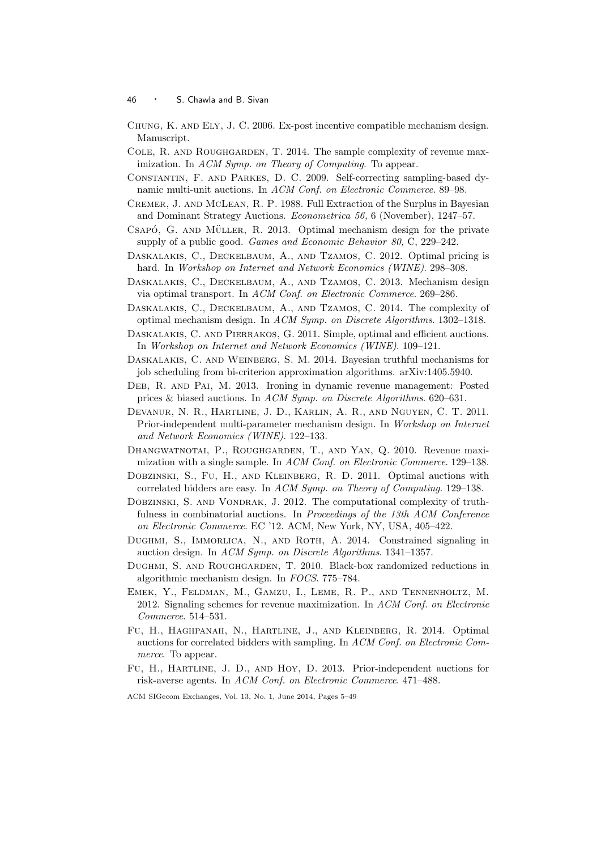- Chung, K. and Ely, J. C. 2006. Ex-post incentive compatible mechanism design. Manuscript.
- COLE, R. AND ROUGHGARDEN, T. 2014. The sample complexity of revenue maximization. In ACM Symp. on Theory of Computing. To appear.
- Constantin, F. and Parkes, D. C. 2009. Self-correcting sampling-based dynamic multi-unit auctions. In ACM Conf. on Electronic Commerce. 89–98.
- Cremer, J. and McLean, R. P. 1988. Full Extraction of the Surplus in Bayesian and Dominant Strategy Auctions. Econometrica 56, 6 (November), 1247–57.
- $CSAP\acute{o}$ , G. AND MÜLLER, R. 2013. Optimal mechanism design for the private supply of a public good. *Games and Economic Behavior 80*, C, 229–242.
- Daskalakis, C., Deckelbaum, A., and Tzamos, C. 2012. Optimal pricing is hard. In Workshop on Internet and Network Economics (WINE). 298–308.
- Daskalakis, C., Deckelbaum, A., and Tzamos, C. 2013. Mechanism design via optimal transport. In ACM Conf. on Electronic Commerce. 269–286.
- Daskalakis, C., Deckelbaum, A., and Tzamos, C. 2014. The complexity of optimal mechanism design. In ACM Symp. on Discrete Algorithms. 1302–1318.
- DASKALAKIS, C. AND PIERRAKOS, G. 2011. Simple, optimal and efficient auctions. In Workshop on Internet and Network Economics (WINE). 109–121.
- Daskalakis, C. and Weinberg, S. M. 2014. Bayesian truthful mechanisms for job scheduling from bi-criterion approximation algorithms. arXiv:1405.5940.
- Deb, R. and Pai, M. 2013. Ironing in dynamic revenue management: Posted prices & biased auctions. In ACM Symp. on Discrete Algorithms. 620–631.
- Devanur, N. R., Hartline, J. D., Karlin, A. R., and Nguyen, C. T. 2011. Prior-independent multi-parameter mechanism design. In Workshop on Internet and Network Economics (WINE). 122–133.
- Dhangwatnotai, P., Roughgarden, T., and Yan, Q. 2010. Revenue maximization with a single sample. In ACM Conf. on Electronic Commerce. 129–138.
- Dobzinski, S., Fu, H., and Kleinberg, R. D. 2011. Optimal auctions with correlated bidders are easy. In ACM Symp. on Theory of Computing. 129–138.
- DOBZINSKI, S. AND VONDRAK, J. 2012. The computational complexity of truthfulness in combinatorial auctions. In Proceedings of the 13th ACM Conference on Electronic Commerce. EC '12. ACM, New York, NY, USA, 405–422.
- DUGHMI, S., IMMORLICA, N., AND ROTH, A. 2014. Constrained signaling in auction design. In ACM Symp. on Discrete Algorithms. 1341–1357.
- Dughmi, S. and Roughgarden, T. 2010. Black-box randomized reductions in algorithmic mechanism design. In FOCS. 775–784.
- Emek, Y., Feldman, M., Gamzu, I., Leme, R. P., and Tennenholtz, M. 2012. Signaling schemes for revenue maximization. In ACM Conf. on Electronic Commerce. 514–531.
- Fu, H., Haghpanah, N., Hartline, J., and Kleinberg, R. 2014. Optimal auctions for correlated bidders with sampling. In ACM Conf. on Electronic Commerce. To appear.
- Fu, H., Hartline, J. D., and Hoy, D. 2013. Prior-independent auctions for risk-averse agents. In ACM Conf. on Electronic Commerce. 471–488.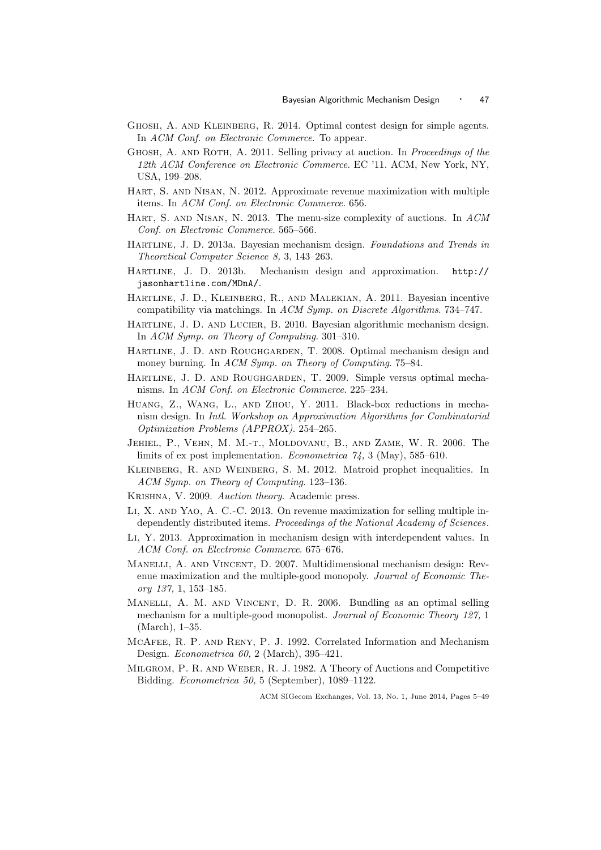- GHOSH, A. AND KLEINBERG, R. 2014. Optimal contest design for simple agents. In ACM Conf. on Electronic Commerce. To appear.
- GHOSH, A. AND ROTH, A. 2011. Selling privacy at auction. In *Proceedings of the* 12th ACM Conference on Electronic Commerce. EC '11. ACM, New York, NY, USA, 199–208.
- Hart, S. and Nisan, N. 2012. Approximate revenue maximization with multiple items. In ACM Conf. on Electronic Commerce. 656.
- Hart, S. and Nisan, N. 2013. The menu-size complexity of auctions. In ACM Conf. on Electronic Commerce. 565–566.
- Hartline, J. D. 2013a. Bayesian mechanism design. Foundations and Trends in Theoretical Computer Science 8, 3, 143–263.
- Hartline, J. D. 2013b. Mechanism design and approximation. http:// jasonhartline.com/MDnA/.
- Hartline, J. D., Kleinberg, R., and Malekian, A. 2011. Bayesian incentive compatibility via matchings. In ACM Symp. on Discrete Algorithms. 734–747.
- HARTLINE, J. D. AND LUCIER, B. 2010. Bayesian algorithmic mechanism design. In ACM Symp. on Theory of Computing. 301–310.
- Hartline, J. D. and Roughgarden, T. 2008. Optimal mechanism design and money burning. In ACM Symp. on Theory of Computing. 75–84.
- Hartline, J. D. and Roughgarden, T. 2009. Simple versus optimal mechanisms. In ACM Conf. on Electronic Commerce. 225–234.
- Huang, Z., Wang, L., and Zhou, Y. 2011. Black-box reductions in mechanism design. In Intl. Workshop on Approximation Algorithms for Combinatorial Optimization Problems (APPROX). 254–265.
- Jehiel, P., Vehn, M. M.-t., Moldovanu, B., and Zame, W. R. 2006. The limits of ex post implementation. *Econometrica*  $74$ , 3 (May), 585–610.
- Kleinberg, R. and Weinberg, S. M. 2012. Matroid prophet inequalities. In ACM Symp. on Theory of Computing. 123–136.
- Krishna, V. 2009. Auction theory. Academic press.
- Li, X. and Yao, A. C.-C. 2013. On revenue maximization for selling multiple independently distributed items. Proceedings of the National Academy of Sciences.
- Li, Y. 2013. Approximation in mechanism design with interdependent values. In ACM Conf. on Electronic Commerce. 675–676.
- Manelli, A. and Vincent, D. 2007. Multidimensional mechanism design: Revenue maximization and the multiple-good monopoly. Journal of Economic Theory 137, 1, 153–185.
- Manelli, A. M. and Vincent, D. R. 2006. Bundling as an optimal selling mechanism for a multiple-good monopolist. Journal of Economic Theory 127, 1 (March), 1–35.
- McAfee, R. P. and Reny, P. J. 1992. Correlated Information and Mechanism Design. Econometrica 60, 2 (March), 395–421.
- Milgrom, P. R. and Weber, R. J. 1982. A Theory of Auctions and Competitive Bidding. Econometrica 50, 5 (September), 1089–1122.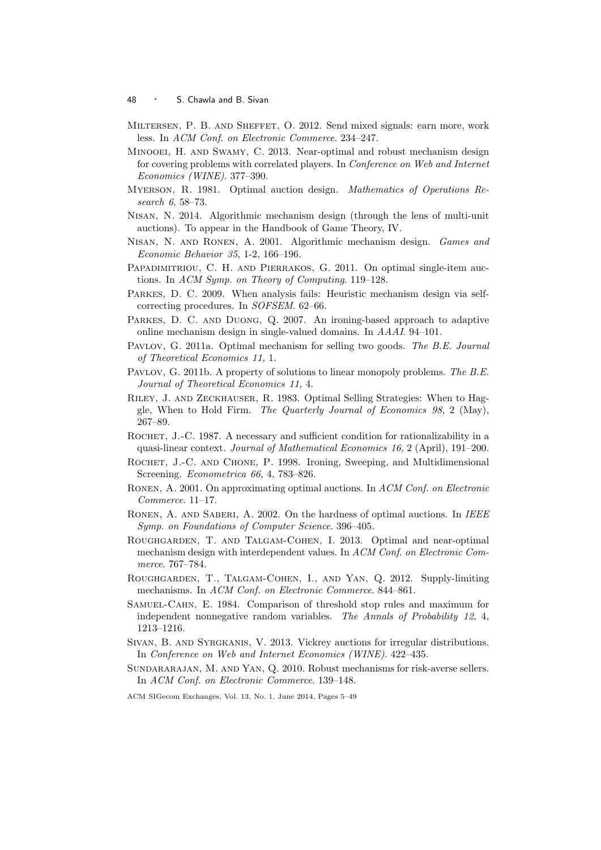- Miltersen, P. B. and Sheffet, O. 2012. Send mixed signals: earn more, work less. In ACM Conf. on Electronic Commerce. 234–247.
- Minooei, H. and Swamy, C. 2013. Near-optimal and robust mechanism design for covering problems with correlated players. In Conference on Web and Internet Economics (WINE). 377–390.
- Myerson, R. 1981. Optimal auction design. Mathematics of Operations Research 6, 58–73.
- Nisan, N. 2014. Algorithmic mechanism design (through the lens of multi-unit auctions). To appear in the Handbook of Game Theory, IV.
- Nisan, N. and Ronen, A. 2001. Algorithmic mechanism design. Games and Economic Behavior 35, 1-2, 166–196.
- PAPADIMITRIOU, C. H. AND PIERRAKOS, G. 2011. On optimal single-item auctions. In ACM Symp. on Theory of Computing. 119–128.
- Parkes, D. C. 2009. When analysis fails: Heuristic mechanism design via selfcorrecting procedures. In SOFSEM. 62–66.
- PARKES, D. C. AND DUONG, Q. 2007. An ironing-based approach to adaptive online mechanism design in single-valued domains. In AAAI. 94–101.
- Pavlov, G. 2011a. Optimal mechanism for selling two goods. The B.E. Journal of Theoretical Economics 11, 1.
- PAVLOV, G. 2011b. A property of solutions to linear monopoly problems. The B.E. Journal of Theoretical Economics 11, 4.
- Riley, J. and Zeckhauser, R. 1983. Optimal Selling Strategies: When to Haggle, When to Hold Firm. The Quarterly Journal of Economics 98, 2 (May), 267–89.
- ROCHET, J.-C. 1987. A necessary and sufficient condition for rationalizability in a quasi-linear context. Journal of Mathematical Economics 16, 2 (April), 191–200.
- Rochet, J.-C. and Chone, P. 1998. Ironing, Sweeping, and Multidimensional Screening. Econometrica 66, 4, 783–826.
- Ronen, A. 2001. On approximating optimal auctions. In ACM Conf. on Electronic Commerce. 11–17.
- RONEN, A. AND SABERI, A. 2002. On the hardness of optimal auctions. In IEEE Symp. on Foundations of Computer Science. 396–405.
- Roughgarden, T. and Talgam-Cohen, I. 2013. Optimal and near-optimal mechanism design with interdependent values. In ACM Conf. on Electronic Commerce. 767–784.
- Roughgarden, T., Talgam-Cohen, I., and Yan, Q. 2012. Supply-limiting mechanisms. In ACM Conf. on Electronic Commerce. 844–861.
- Samuel-Cahn, E. 1984. Comparison of threshold stop rules and maximum for independent nonnegative random variables. The Annals of Probability 12, 4, 1213–1216.
- Sivan, B. and Syrgkanis, V. 2013. Vickrey auctions for irregular distributions. In Conference on Web and Internet Economics (WINE). 422–435.
- Sundararajan, M. and Yan, Q. 2010. Robust mechanisms for risk-averse sellers. In ACM Conf. on Electronic Commerce. 139–148.